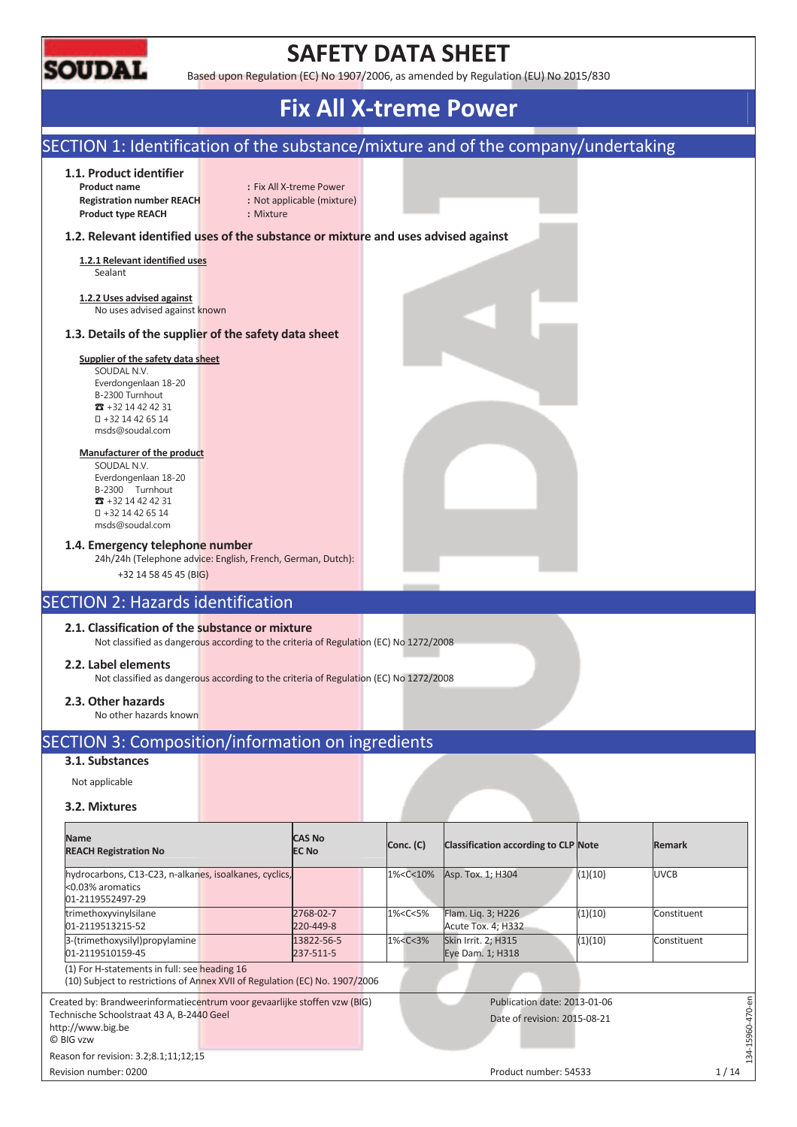

## **SAFETY DATA SHEET**

Based upon Regulation (EC) No 1907/2006, as amended by Regulation (EU) No 2015/830

# **Fix All X-treme Power**

### SECTION 1: Identification of the substance/mixture and of the company/undertaking

#### **1.1. Product identifier**

**Registration number REACH :** Not applicable (mixture) **Product type REACH :** Mixture

**Product name** : Fix All X-treme Power

#### **1.2. Relevant identified uses of the substance or mixture and uses advised against**

**1.2.1 Relevant identified uses**  Sealant

**1.2.2 Uses advised against**  No uses advised against known

#### **1.3. Details of the supplier of the safety data sheet**

#### **Supplier of the safety data sheet**

SOUDAL N.V. Everdongenlaan 18-20 B-2300 Turnhout  $73 + 32 14 42 42 31$  +32 14 42 65 14 msds@soudal.com

#### **Manufacturer of the product**

SOUDAL N.V. Everdongenlaan 18-20 B-2300 Turnhout  $\overline{3}$  +32 14 42 42 31 +32 14 42 65 14 msds@soudal.com

#### **1.4. Emergency telephone number**

24h/24h (Telephone advice: English, French, German, Dutch):

### +32 14 58 45 45 (BIG)

### SECTION 2: Hazards identification

#### **2.1. Classification of the substance or mixture**

Not classified as dangerous according to the criteria of Regulation (EC) No 1272/2008

#### **2.2. Label elements**

Not classified as dangerous according to the criteria of Regulation (EC) No 1272/2008

#### **2.3. Other hazards**

No other hazards known

### SECTION 3: Composition/information on ingredients

#### **3.1. Substances**

Not applicable

#### **3.2. Mixtures**

| <b>Name</b>                                                                                                                 |              | <b>CAS No</b>           |           |                                                                                                                         |                                          |               |             |           |
|-----------------------------------------------------------------------------------------------------------------------------|--------------|-------------------------|-----------|-------------------------------------------------------------------------------------------------------------------------|------------------------------------------|---------------|-------------|-----------|
| <b>REACH Registration No</b>                                                                                                | <b>EC No</b> |                         | Conc. (C) | Classification according to CLP Note                                                                                    |                                          | <b>Remark</b> |             |           |
| hydrocarbons, C13-C23, n-alkanes, isoalkanes, cyclics,<br><0.03% aromatics<br>01-2119552497-29                              |              |                         |           | 1% <c<10%< th=""><th>Asp. Tox. 1; H304</th><th>(1)(10)</th><th><b>UVCB</b></th><th></th></c<10%<>                       | Asp. Tox. 1; H304                        | (1)(10)       | <b>UVCB</b> |           |
| trimethoxyvinylsilane<br>01-2119513215-52                                                                                   |              | 2768-02-7<br>220-449-8  |           | 1% <c<5%< td=""><td>Flam. Lig. 3; H226<br/>Acute Tox. 4; H332</td><td>(1)(10)</td><td>Constituent</td><td></td></c<5%<> | Flam. Lig. 3; H226<br>Acute Tox. 4; H332 | (1)(10)       | Constituent |           |
| 3-(trimethoxysilyl)propylamine<br>01-2119510159-45                                                                          |              | 13822-56-5<br>237-511-5 |           | $1\% < C < 3\%$                                                                                                         | Skin Irrit. 2; H315<br>Eye Dam. 1; H318  | (1)(10)       | Constituent |           |
| (1) For H-statements in full: see heading 16<br>(10) Subject to restrictions of Annex XVII of Regulation (EC) No. 1907/2006 |              |                         |           |                                                                                                                         |                                          |               |             |           |
| Created by: Brandweerinformatiecentrum voor gevaarlijke stoffen vzw (BIG)                                                   |              |                         |           |                                                                                                                         | Publication date: 2013-01-06             |               |             |           |
| Technische Schoolstraat 43 A, B-2440 Geel<br>http://www.big.be<br>C BIG vzw                                                 |              |                         |           |                                                                                                                         | Date of revision: 2015-08-21             |               |             | 34-15960- |
| Reason for revision: 3.2;8.1;11;12;15                                                                                       |              |                         |           |                                                                                                                         |                                          |               |             |           |
| Revision number: 0200                                                                                                       |              |                         |           |                                                                                                                         | Product number: 54533                    |               |             | 1/14      |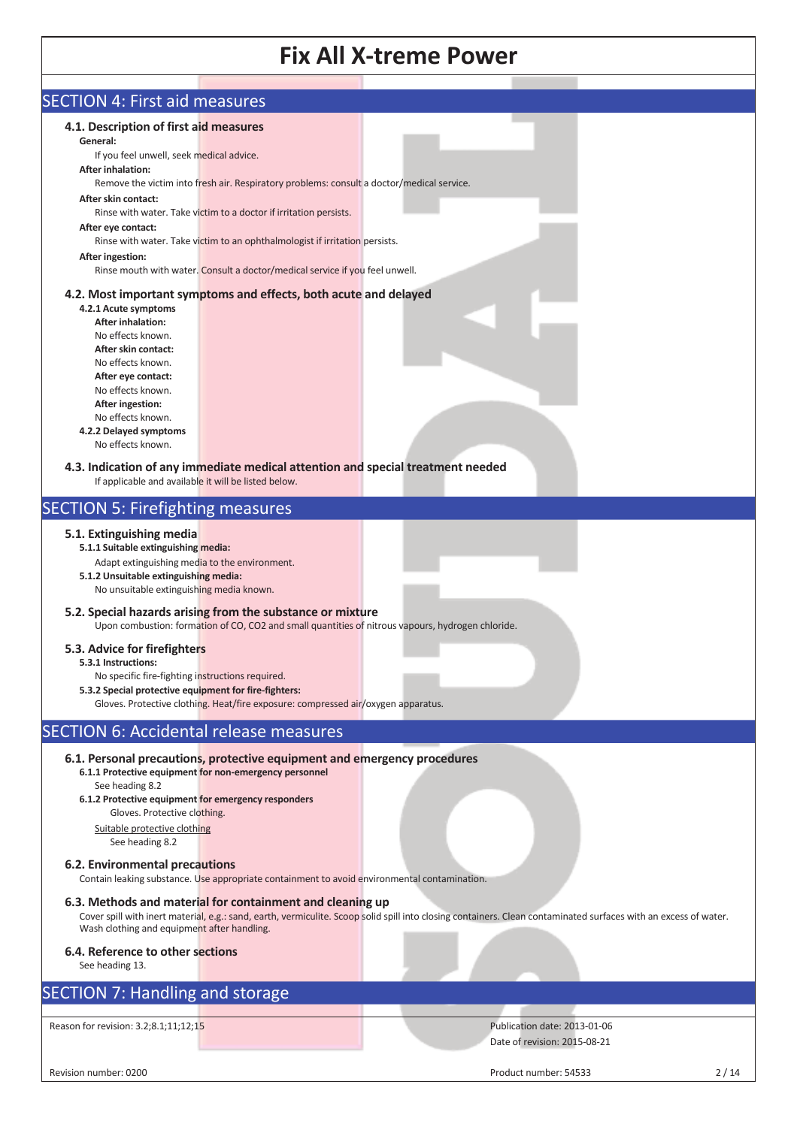| <b>SECTION 4: First aid measures</b>                                                                      |                                                                                                   |                                                                                                                                                                  |      |
|-----------------------------------------------------------------------------------------------------------|---------------------------------------------------------------------------------------------------|------------------------------------------------------------------------------------------------------------------------------------------------------------------|------|
| 4.1. Description of first aid measures                                                                    |                                                                                                   |                                                                                                                                                                  |      |
| General:                                                                                                  |                                                                                                   |                                                                                                                                                                  |      |
| If you feel unwell, seek medical advice.                                                                  |                                                                                                   |                                                                                                                                                                  |      |
| <b>After inhalation:</b>                                                                                  |                                                                                                   |                                                                                                                                                                  |      |
|                                                                                                           | Remove the victim into fresh air. Respiratory problems: consult a doctor/medical service.         |                                                                                                                                                                  |      |
| After skin contact:                                                                                       | Rinse with water. Take victim to a doctor if irritation persists.                                 |                                                                                                                                                                  |      |
| After eye contact:                                                                                        |                                                                                                   |                                                                                                                                                                  |      |
|                                                                                                           | Rinse with water. Take victim to an ophthalmologist if irritation persists.                       |                                                                                                                                                                  |      |
| <b>After ingestion:</b>                                                                                   |                                                                                                   |                                                                                                                                                                  |      |
|                                                                                                           | Rinse mouth with water. Consult a doctor/medical service if you feel unwell.                      |                                                                                                                                                                  |      |
|                                                                                                           | 4.2. Most important symptoms and effects, both acute and delayed                                  |                                                                                                                                                                  |      |
| 4.2.1 Acute symptoms                                                                                      |                                                                                                   |                                                                                                                                                                  |      |
| <b>After inhalation:</b>                                                                                  |                                                                                                   |                                                                                                                                                                  |      |
| No effects known.<br>After skin contact:                                                                  |                                                                                                   |                                                                                                                                                                  |      |
| No effects known.                                                                                         |                                                                                                   |                                                                                                                                                                  |      |
| After eye contact:                                                                                        |                                                                                                   |                                                                                                                                                                  |      |
| No effects known.                                                                                         |                                                                                                   |                                                                                                                                                                  |      |
| After ingestion:<br>No effects known.                                                                     |                                                                                                   |                                                                                                                                                                  |      |
| 4.2.2 Delayed symptoms                                                                                    |                                                                                                   |                                                                                                                                                                  |      |
| No effects known.                                                                                         |                                                                                                   |                                                                                                                                                                  |      |
|                                                                                                           | 4.3. Indication of any immediate medical attention and special treatment needed                   |                                                                                                                                                                  |      |
| If applicable and available it will be listed below.                                                      |                                                                                                   |                                                                                                                                                                  |      |
|                                                                                                           |                                                                                                   |                                                                                                                                                                  |      |
| <b>SECTION 5: Firefighting measures</b>                                                                   |                                                                                                   |                                                                                                                                                                  |      |
| 5.1. Extinguishing media                                                                                  |                                                                                                   |                                                                                                                                                                  |      |
| 5.1.1 Suitable extinguishing media:                                                                       |                                                                                                   |                                                                                                                                                                  |      |
| Adapt extinguishing media to the environment.                                                             |                                                                                                   |                                                                                                                                                                  |      |
| 5.1.2 Unsuitable extinguishing media:<br>No unsuitable extinguishing media known.                         |                                                                                                   |                                                                                                                                                                  |      |
|                                                                                                           |                                                                                                   |                                                                                                                                                                  |      |
|                                                                                                           | 5.2. Special hazards arising from the substance or mixture                                        |                                                                                                                                                                  |      |
|                                                                                                           | Upon combustion: formation of CO, CO2 and small quantities of nitrous vapours, hydrogen chloride. |                                                                                                                                                                  |      |
| 5.3. Advice for firefighters                                                                              |                                                                                                   |                                                                                                                                                                  |      |
| 5.3.1 Instructions:                                                                                       |                                                                                                   |                                                                                                                                                                  |      |
| No specific fire-fighting instructions required.<br>5.3.2 Special protective equipment for fire-fighters: |                                                                                                   |                                                                                                                                                                  |      |
|                                                                                                           | Gloves. Protective clothing. Heat/fire exposure: compressed air/oxygen apparatus.                 |                                                                                                                                                                  |      |
|                                                                                                           |                                                                                                   |                                                                                                                                                                  |      |
| <b>SECTION 6: Accidental release measures</b>                                                             |                                                                                                   |                                                                                                                                                                  |      |
|                                                                                                           | 6.1. Personal precautions, protective equipment and emergency procedures                          |                                                                                                                                                                  |      |
|                                                                                                           | 6.1.1 Protective equipment for non-emergency personnel                                            |                                                                                                                                                                  |      |
| See heading 8.2                                                                                           |                                                                                                   |                                                                                                                                                                  |      |
| 6.1.2 Protective equipment for emergency responders<br>Gloves. Protective clothing.                       |                                                                                                   |                                                                                                                                                                  |      |
| Suitable protective clothing                                                                              |                                                                                                   |                                                                                                                                                                  |      |
| See heading 8.2                                                                                           |                                                                                                   |                                                                                                                                                                  |      |
| 6.2. Environmental precautions                                                                            |                                                                                                   |                                                                                                                                                                  |      |
|                                                                                                           | Contain leaking substance. Use appropriate containment to avoid environmental contamination.      |                                                                                                                                                                  |      |
|                                                                                                           |                                                                                                   |                                                                                                                                                                  |      |
|                                                                                                           | 6.3. Methods and material for containment and cleaning up                                         | Cover spill with inert material, e.g.: sand, earth, vermiculite. Scoop solid spill into closing containers. Clean contaminated surfaces with an excess of water. |      |
| Wash clothing and equipment after handling.                                                               |                                                                                                   |                                                                                                                                                                  |      |
| 6.4. Reference to other sections                                                                          |                                                                                                   |                                                                                                                                                                  |      |
| See heading 13.                                                                                           |                                                                                                   |                                                                                                                                                                  |      |
|                                                                                                           |                                                                                                   |                                                                                                                                                                  |      |
| <b>SECTION 7: Handling and storage</b>                                                                    |                                                                                                   |                                                                                                                                                                  |      |
|                                                                                                           |                                                                                                   |                                                                                                                                                                  |      |
| Reason for revision: 3.2;8.1;11;12;15                                                                     |                                                                                                   | Publication date: 2013-01-06                                                                                                                                     |      |
|                                                                                                           |                                                                                                   | Date of revision: 2015-08-21                                                                                                                                     |      |
| Revision number: 0200                                                                                     |                                                                                                   | Product number: 54533                                                                                                                                            | 2/14 |
|                                                                                                           |                                                                                                   |                                                                                                                                                                  |      |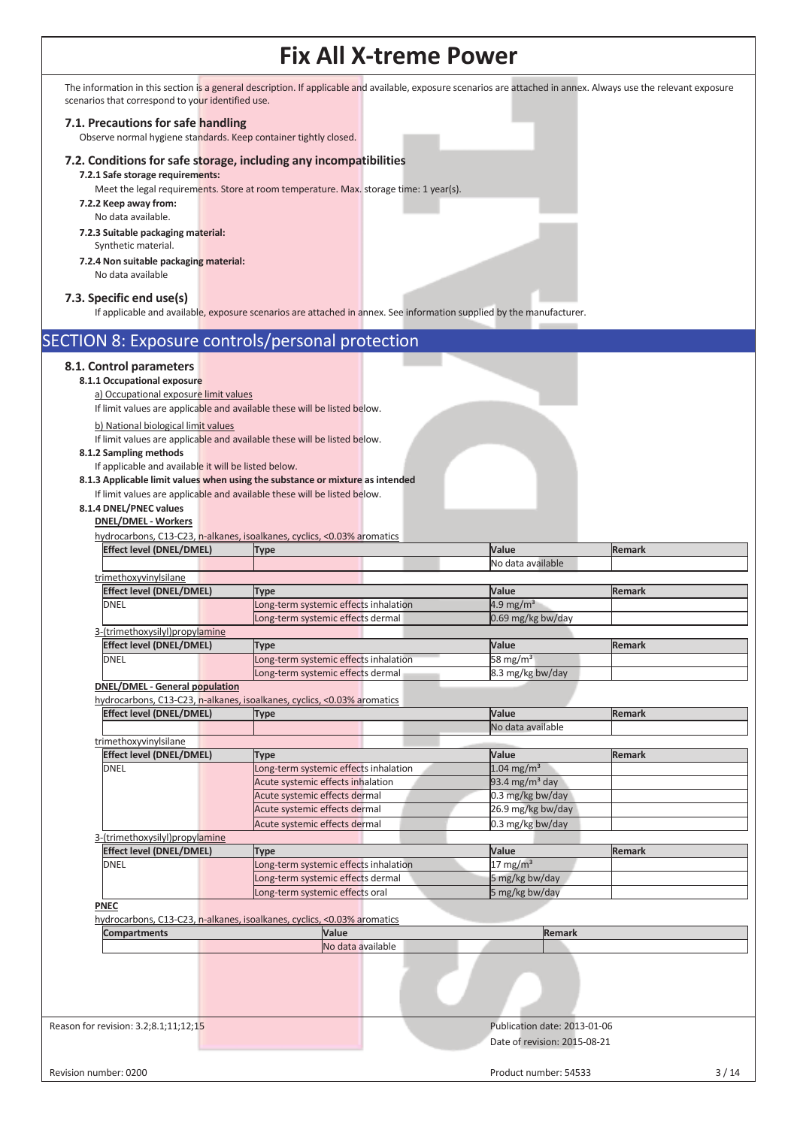The information in this section is a general description. If applicable and available, exposure scenarios are attached in annex. Always use the relevant exposure scenarios that correspond to your identified use.

#### **7.1. Precautions for safe handling**

Observe normal hygiene standards. Keep container tightly closed.

#### **7.2. Conditions for safe storage, including any incompatibilities**

**7.2.1 Safe storage requirements:** 

Meet the legal requirements. Store at room temperature. Max. storage time: 1 year(s).

- **7.2.2 Keep away from:** 
	- No data available.
- **7.2.3 Suitable packaging material:**  Synthetic material.
- **7.2.4 Non suitable packaging material:** No data available

### **7.3. Specific end use(s)**

If applicable and available, exposure scenarios are attached in annex. See information supplied by the manufacturer.

|                                                                                                                                        | if applicable and available, exposure scenarios are attached in annex. See information supplied by the manufacturer. |                              |               |
|----------------------------------------------------------------------------------------------------------------------------------------|----------------------------------------------------------------------------------------------------------------------|------------------------------|---------------|
| <b>SECTION 8: Exposure controls/personal protection</b>                                                                                |                                                                                                                      |                              |               |
| 8.1. Control parameters<br>8.1.1 Occupational exposure<br>a) Occupational exposure limit values<br>b) National biological limit values | If limit values are applicable and available these will be listed below.                                             |                              |               |
|                                                                                                                                        | If limit values are applicable and available these will be listed below.                                             |                              |               |
| 8.1.2 Sampling methods                                                                                                                 |                                                                                                                      |                              |               |
| If applicable and available it will be listed below.                                                                                   |                                                                                                                      |                              |               |
|                                                                                                                                        | 8.1.3 Applicable limit values when using the substance or mixture as intended                                        |                              |               |
| 8.1.4 DNEL/PNEC values                                                                                                                 | If limit values are applicable and available these will be listed below.                                             |                              |               |
| <b>DNEL/DMEL - Workers</b>                                                                                                             |                                                                                                                      |                              |               |
| <b>Effect level (DNEL/DMEL)</b>                                                                                                        | hydrocarbons, C13-C23, n-alkanes, isoalkanes, cyclics, <0.03% aromatics<br><b>Type</b>                               | Value                        | <b>Remark</b> |
|                                                                                                                                        |                                                                                                                      | No data available            |               |
| trimethoxyvinylsilane                                                                                                                  |                                                                                                                      |                              |               |
| <b>Effect level (DNEL/DMEL)</b>                                                                                                        | Type                                                                                                                 | Value                        | <b>Remark</b> |
| DNEL                                                                                                                                   | Long-term systemic effects inhalation                                                                                | 4.9 mg/m <sup>3</sup>        |               |
|                                                                                                                                        | Long-term systemic effects dermal                                                                                    | 0.69 mg/kg bw/day            |               |
| 3-(trimethoxysilyl)propylamine                                                                                                         |                                                                                                                      |                              |               |
| <b>Effect level (DNEL/DMEL)</b>                                                                                                        | Type                                                                                                                 | Value                        | <b>Remark</b> |
| <b>DNEL</b>                                                                                                                            | Long-term systemic effects inhalation                                                                                | 58 mg/ $m3$                  |               |
|                                                                                                                                        | Long-term systemic effects dermal                                                                                    | 8.3 mg/kg bw/day             |               |
| <b>DNEL/DMEL - General population</b>                                                                                                  |                                                                                                                      |                              |               |
|                                                                                                                                        | hydrocarbons, C13-C23, n-alkanes, isoalkanes, cyclics, <0.03% aromatics                                              |                              |               |
| Effect level (DNEL/DMEL)                                                                                                               | Type                                                                                                                 | Value                        | <b>Remark</b> |
|                                                                                                                                        |                                                                                                                      | No data available            |               |
| trimethoxyvinylsilane                                                                                                                  |                                                                                                                      |                              |               |
| <b>Effect level (DNEL/DMEL)</b>                                                                                                        | <b>Type</b>                                                                                                          | Value                        | <b>Remark</b> |
| <b>DNEL</b>                                                                                                                            | ong-term systemic effects inhalation                                                                                 | $1.04 \text{ mg/m}^3$        |               |
|                                                                                                                                        | Acute systemic effects inhalation                                                                                    | 93.4 mg/m <sup>3</sup> day   |               |
|                                                                                                                                        | Acute systemic effects dermal                                                                                        | 0.3 mg/kg bw/day             |               |
|                                                                                                                                        | Acute systemic effects dermal                                                                                        | 26.9 mg/kg bw/day            |               |
| 3-(trimethoxysilyl)propylamine                                                                                                         | Acute systemic effects dermal                                                                                        | 0.3 mg/kg bw/day             |               |
| <b>Effect level (DNEL/DMEL)</b>                                                                                                        | <b>Type</b>                                                                                                          | Value                        | <b>Remark</b> |
| <b>DNEL</b>                                                                                                                            | ong-term systemic effects inhalation                                                                                 | $17 \text{ mg/m}^3$          |               |
|                                                                                                                                        | Long-term systemic effects dermal                                                                                    | 5 mg/kg bw/day               |               |
|                                                                                                                                        | Long-term systemic effects oral                                                                                      | 5 mg/kg bw/day               |               |
| <b>PNEC</b>                                                                                                                            |                                                                                                                      |                              |               |
|                                                                                                                                        | hydrocarbons, C13-C23, n-alkanes, isoalkanes, cyclics, <0.03% aromatics                                              |                              |               |
| Compartments                                                                                                                           | Value                                                                                                                | <b>Remark</b>                |               |
|                                                                                                                                        | No data available                                                                                                    |                              |               |
|                                                                                                                                        |                                                                                                                      |                              |               |
| Reason for revision: 3.2;8.1;11;12;15                                                                                                  |                                                                                                                      | Publication date: 2013-01-06 |               |
|                                                                                                                                        |                                                                                                                      | Date of revision: 2015-08-21 |               |
| Revision number: 0200                                                                                                                  |                                                                                                                      | Product number: 54533        | $3/14$        |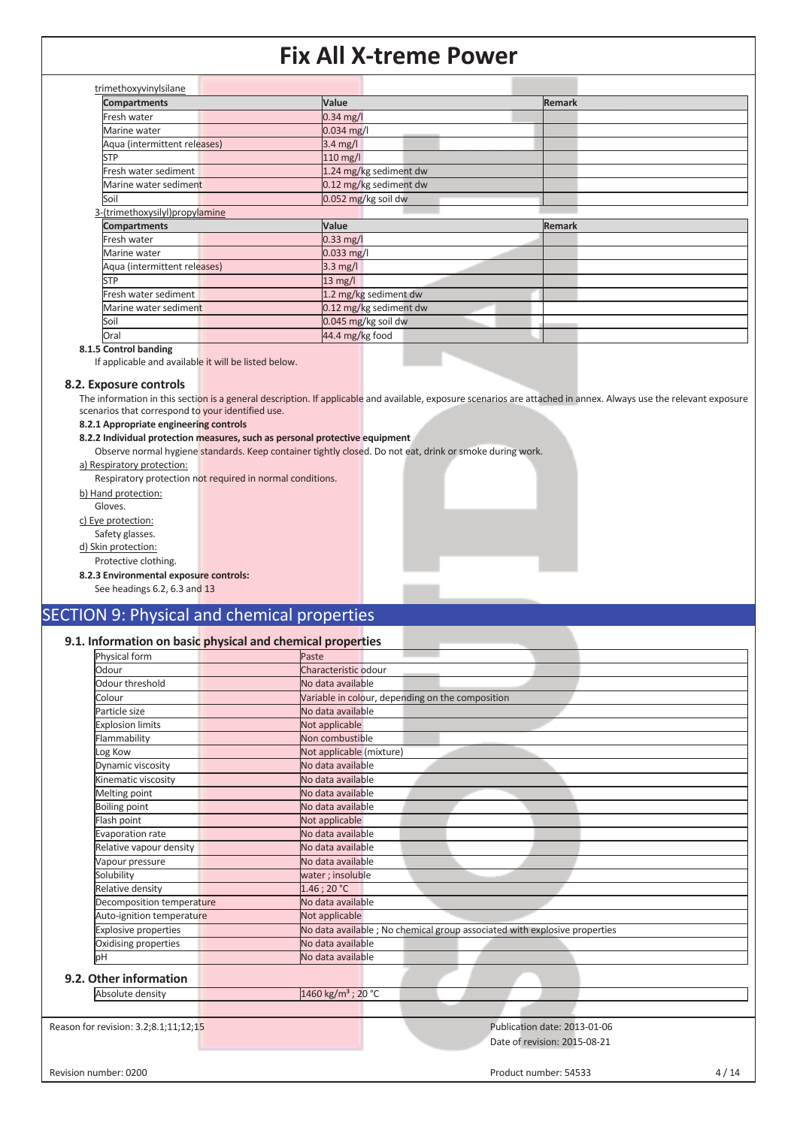| $0.34$ mg/l<br>0.034 mg/l<br>3.4 mg/l<br>$110$ mg/l |               |
|-----------------------------------------------------|---------------|
|                                                     |               |
|                                                     |               |
|                                                     |               |
|                                                     |               |
| 1.24 mg/kg sediment dw                              |               |
| 0.12 mg/kg sediment dw                              |               |
| 0.052 mg/kg soil dw                                 |               |
|                                                     |               |
| Value                                               | <b>Remark</b> |
| $0.33$ mg/l                                         |               |
| $0.033$ mg/l                                        |               |
| $3.3 \text{ mg/l}$                                  |               |
| $13 \text{ mg/l}$                                   |               |
| 1.2 mg/kg sediment dw                               |               |
| 0.12 mg/kg sediment dw                              |               |
| 0.045 mg/kg soil dw                                 |               |
|                                                     |               |

**8.1.5 Control banding** 

If applicable and available it will be listed below.

#### **8.2. Exposure controls**

The information in this section is a general description. If applicable and available, exposure scenarios are attached in annex. Always use the relevant exposure scenarios that correspond to your identified use.

#### **8.2.1 Appropriate engineering controls**

#### **8.2.2 Individual protection measures, such as personal protective equipment**

Observe normal hygiene standards. Keep container tightly closed. Do not eat, drink or smoke during work. a) Respiratory protection:

Respiratory protection not required in normal conditions.

b) Hand protection:

Gloves.

c) Eye protection:

Safety glasses.

d) Skin protection:

Protective clothing.

**8.2.3 Environmental exposure controls:** 

See headings 6.2, 6.3 and 13

### SECTION 9: Physical and chemical properties

#### **9.1. Information on basic physical and chemical properties**

| Physical form               | Paste                                                                      |
|-----------------------------|----------------------------------------------------------------------------|
| Odour                       | Characteristic odour                                                       |
| Odour threshold             | No data available                                                          |
| Colour                      | Variable in colour, depending on the composition                           |
| Particle size               | No data available                                                          |
| <b>Explosion limits</b>     | Not applicable                                                             |
| Flammability                | Non combustible                                                            |
| Log Kow                     | Not applicable (mixture)                                                   |
| Dynamic viscosity           | No data available                                                          |
| Kinematic viscosity         | No data available                                                          |
| Melting point               | No data available                                                          |
| <b>Boiling point</b>        | No data available                                                          |
| Flash point                 | Not applicable                                                             |
| Evaporation rate            | No data available                                                          |
| Relative vapour density     | No data available                                                          |
| Vapour pressure             | No data available                                                          |
| Solubility                  | water ; insoluble                                                          |
| Relative density            | 1.46:20 °C                                                                 |
| Decomposition temperature   | No data available                                                          |
| Auto-ignition temperature   | Not applicable                                                             |
| <b>Explosive properties</b> | No data available ; No chemical group associated with explosive properties |
| Oxidising properties        | No data available                                                          |
| bН                          | No data available                                                          |
|                             |                                                                            |
| 9.2. Other information      |                                                                            |
| Absolute density            | 1460 kg/m <sup>3</sup> ; 20 °C                                             |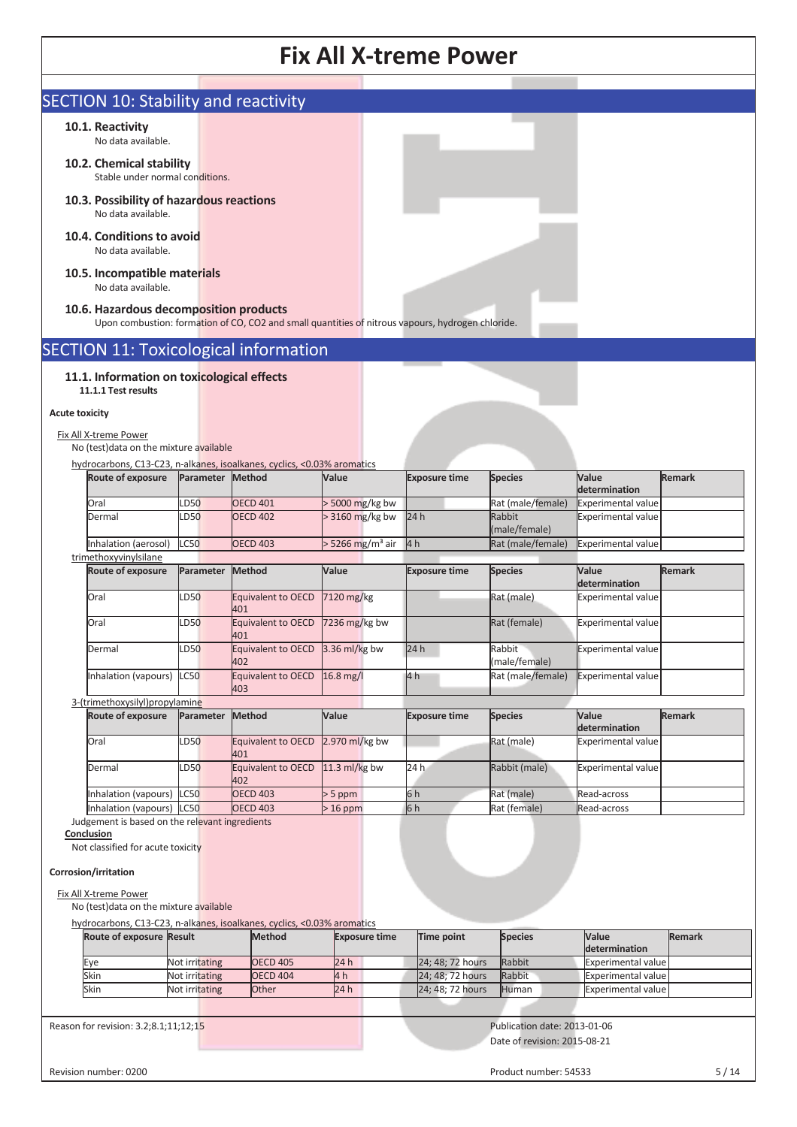| <b>SECTION 10: Stability and reactivity</b><br>Stable under normal conditions.<br>10.3. Possibility of hazardous reactions<br>10.5. Incompatible materials<br>10.6. Hazardous decomposition products<br>Upon combustion: formation of CO, CO2 and small quantities of nitrous vapours, hydrogen chloride.<br><b>SECTION 11: Toxicological information</b><br>11.1. Information on toxicological effects<br>No (test) data on the mixture available<br>hydrocarbons, C13-C23, n-alkanes, isoalkanes, cyclics, <0.03% aromatics<br><b>Method</b><br>Parameter<br><b>OECD 401</b><br><b>OECD 402</b><br><b>OECD 403</b><br>Parameter<br><b>Method</b><br>Equivalent to OECD<br>401<br><b>Equivalent to OECD</b><br>401<br>Equivalent to OECD 3.36 ml/kg bw | Value<br>> 5000 mg/kg bw<br>> 3160 mg/kg bw<br>$>$ 5266 mg/m <sup>3</sup> air<br>Value<br>7120 mg/kg<br>7236 $mg/kg$ bw                         | <b>Exposure time</b><br>24h<br>4 <sub>h</sub><br><b>Exposure time</b>                                                                 | <b>Species</b><br>Rat (male/female)<br>Rabbit<br>(male/female)<br>Rat (male/female)<br><b>Species</b><br>Rat (male)<br>Rat (female) | Value<br>determination<br>Experimental value<br>Experimental value<br>Experimental value<br>Value<br>determination<br><b>Experimental value</b><br><b>Experimental value</b> | <b>Remark</b><br><b>Remark</b>                                                                        |
|---------------------------------------------------------------------------------------------------------------------------------------------------------------------------------------------------------------------------------------------------------------------------------------------------------------------------------------------------------------------------------------------------------------------------------------------------------------------------------------------------------------------------------------------------------------------------------------------------------------------------------------------------------------------------------------------------------------------------------------------------------|-------------------------------------------------------------------------------------------------------------------------------------------------|---------------------------------------------------------------------------------------------------------------------------------------|-------------------------------------------------------------------------------------------------------------------------------------|------------------------------------------------------------------------------------------------------------------------------------------------------------------------------|-------------------------------------------------------------------------------------------------------|
|                                                                                                                                                                                                                                                                                                                                                                                                                                                                                                                                                                                                                                                                                                                                                         |                                                                                                                                                 |                                                                                                                                       |                                                                                                                                     |                                                                                                                                                                              |                                                                                                       |
|                                                                                                                                                                                                                                                                                                                                                                                                                                                                                                                                                                                                                                                                                                                                                         |                                                                                                                                                 |                                                                                                                                       |                                                                                                                                     |                                                                                                                                                                              |                                                                                                       |
|                                                                                                                                                                                                                                                                                                                                                                                                                                                                                                                                                                                                                                                                                                                                                         |                                                                                                                                                 |                                                                                                                                       |                                                                                                                                     |                                                                                                                                                                              |                                                                                                       |
|                                                                                                                                                                                                                                                                                                                                                                                                                                                                                                                                                                                                                                                                                                                                                         |                                                                                                                                                 |                                                                                                                                       |                                                                                                                                     |                                                                                                                                                                              |                                                                                                       |
|                                                                                                                                                                                                                                                                                                                                                                                                                                                                                                                                                                                                                                                                                                                                                         |                                                                                                                                                 |                                                                                                                                       |                                                                                                                                     |                                                                                                                                                                              |                                                                                                       |
|                                                                                                                                                                                                                                                                                                                                                                                                                                                                                                                                                                                                                                                                                                                                                         |                                                                                                                                                 |                                                                                                                                       |                                                                                                                                     |                                                                                                                                                                              |                                                                                                       |
|                                                                                                                                                                                                                                                                                                                                                                                                                                                                                                                                                                                                                                                                                                                                                         |                                                                                                                                                 |                                                                                                                                       |                                                                                                                                     |                                                                                                                                                                              |                                                                                                       |
|                                                                                                                                                                                                                                                                                                                                                                                                                                                                                                                                                                                                                                                                                                                                                         |                                                                                                                                                 |                                                                                                                                       |                                                                                                                                     |                                                                                                                                                                              |                                                                                                       |
|                                                                                                                                                                                                                                                                                                                                                                                                                                                                                                                                                                                                                                                                                                                                                         |                                                                                                                                                 |                                                                                                                                       |                                                                                                                                     |                                                                                                                                                                              |                                                                                                       |
|                                                                                                                                                                                                                                                                                                                                                                                                                                                                                                                                                                                                                                                                                                                                                         |                                                                                                                                                 |                                                                                                                                       |                                                                                                                                     |                                                                                                                                                                              |                                                                                                       |
|                                                                                                                                                                                                                                                                                                                                                                                                                                                                                                                                                                                                                                                                                                                                                         |                                                                                                                                                 |                                                                                                                                       |                                                                                                                                     |                                                                                                                                                                              |                                                                                                       |
|                                                                                                                                                                                                                                                                                                                                                                                                                                                                                                                                                                                                                                                                                                                                                         |                                                                                                                                                 |                                                                                                                                       |                                                                                                                                     |                                                                                                                                                                              |                                                                                                       |
|                                                                                                                                                                                                                                                                                                                                                                                                                                                                                                                                                                                                                                                                                                                                                         |                                                                                                                                                 |                                                                                                                                       |                                                                                                                                     |                                                                                                                                                                              |                                                                                                       |
|                                                                                                                                                                                                                                                                                                                                                                                                                                                                                                                                                                                                                                                                                                                                                         |                                                                                                                                                 |                                                                                                                                       |                                                                                                                                     |                                                                                                                                                                              |                                                                                                       |
|                                                                                                                                                                                                                                                                                                                                                                                                                                                                                                                                                                                                                                                                                                                                                         |                                                                                                                                                 |                                                                                                                                       |                                                                                                                                     |                                                                                                                                                                              |                                                                                                       |
|                                                                                                                                                                                                                                                                                                                                                                                                                                                                                                                                                                                                                                                                                                                                                         |                                                                                                                                                 |                                                                                                                                       |                                                                                                                                     |                                                                                                                                                                              |                                                                                                       |
|                                                                                                                                                                                                                                                                                                                                                                                                                                                                                                                                                                                                                                                                                                                                                         |                                                                                                                                                 |                                                                                                                                       |                                                                                                                                     |                                                                                                                                                                              |                                                                                                       |
|                                                                                                                                                                                                                                                                                                                                                                                                                                                                                                                                                                                                                                                                                                                                                         |                                                                                                                                                 |                                                                                                                                       |                                                                                                                                     |                                                                                                                                                                              |                                                                                                       |
|                                                                                                                                                                                                                                                                                                                                                                                                                                                                                                                                                                                                                                                                                                                                                         |                                                                                                                                                 |                                                                                                                                       |                                                                                                                                     |                                                                                                                                                                              |                                                                                                       |
|                                                                                                                                                                                                                                                                                                                                                                                                                                                                                                                                                                                                                                                                                                                                                         |                                                                                                                                                 |                                                                                                                                       |                                                                                                                                     |                                                                                                                                                                              |                                                                                                       |
|                                                                                                                                                                                                                                                                                                                                                                                                                                                                                                                                                                                                                                                                                                                                                         |                                                                                                                                                 |                                                                                                                                       |                                                                                                                                     |                                                                                                                                                                              |                                                                                                       |
|                                                                                                                                                                                                                                                                                                                                                                                                                                                                                                                                                                                                                                                                                                                                                         |                                                                                                                                                 |                                                                                                                                       |                                                                                                                                     |                                                                                                                                                                              |                                                                                                       |
|                                                                                                                                                                                                                                                                                                                                                                                                                                                                                                                                                                                                                                                                                                                                                         |                                                                                                                                                 | 24h                                                                                                                                   | Rabbit                                                                                                                              | Experimental value                                                                                                                                                           |                                                                                                       |
| 402<br>Equivalent to OECD                                                                                                                                                                                                                                                                                                                                                                                                                                                                                                                                                                                                                                                                                                                               | 16.8 mg/l                                                                                                                                       | 4 h                                                                                                                                   | (male/female)<br>Rat (male/female)                                                                                                  | Experimental value                                                                                                                                                           |                                                                                                       |
| 403                                                                                                                                                                                                                                                                                                                                                                                                                                                                                                                                                                                                                                                                                                                                                     |                                                                                                                                                 |                                                                                                                                       |                                                                                                                                     |                                                                                                                                                                              |                                                                                                       |
| <b>Method</b><br>Parameter                                                                                                                                                                                                                                                                                                                                                                                                                                                                                                                                                                                                                                                                                                                              | Value                                                                                                                                           | <b>Exposure time</b>                                                                                                                  | <b>Species</b>                                                                                                                      | Value                                                                                                                                                                        | <b>Remark</b>                                                                                         |
|                                                                                                                                                                                                                                                                                                                                                                                                                                                                                                                                                                                                                                                                                                                                                         |                                                                                                                                                 |                                                                                                                                       |                                                                                                                                     | determination                                                                                                                                                                |                                                                                                       |
| Equivalent to OECD<br>401                                                                                                                                                                                                                                                                                                                                                                                                                                                                                                                                                                                                                                                                                                                               | 2.970 ml/kg bw                                                                                                                                  |                                                                                                                                       | Rat (male)                                                                                                                          | <b>Experimental value</b>                                                                                                                                                    |                                                                                                       |
| Equivalent to OECD<br>402                                                                                                                                                                                                                                                                                                                                                                                                                                                                                                                                                                                                                                                                                                                               | 11.3 ml/kg bw                                                                                                                                   | 24 h                                                                                                                                  | Rabbit (male)                                                                                                                       | <b>Experimental value</b>                                                                                                                                                    |                                                                                                       |
| <b>OECD 403</b>                                                                                                                                                                                                                                                                                                                                                                                                                                                                                                                                                                                                                                                                                                                                         | $> 5$ ppm                                                                                                                                       | 6h                                                                                                                                    | Rat (male)                                                                                                                          | Read-across                                                                                                                                                                  |                                                                                                       |
|                                                                                                                                                                                                                                                                                                                                                                                                                                                                                                                                                                                                                                                                                                                                                         |                                                                                                                                                 |                                                                                                                                       |                                                                                                                                     |                                                                                                                                                                              |                                                                                                       |
|                                                                                                                                                                                                                                                                                                                                                                                                                                                                                                                                                                                                                                                                                                                                                         |                                                                                                                                                 |                                                                                                                                       |                                                                                                                                     |                                                                                                                                                                              |                                                                                                       |
|                                                                                                                                                                                                                                                                                                                                                                                                                                                                                                                                                                                                                                                                                                                                                         |                                                                                                                                                 |                                                                                                                                       |                                                                                                                                     |                                                                                                                                                                              |                                                                                                       |
|                                                                                                                                                                                                                                                                                                                                                                                                                                                                                                                                                                                                                                                                                                                                                         |                                                                                                                                                 |                                                                                                                                       |                                                                                                                                     |                                                                                                                                                                              |                                                                                                       |
|                                                                                                                                                                                                                                                                                                                                                                                                                                                                                                                                                                                                                                                                                                                                                         |                                                                                                                                                 |                                                                                                                                       |                                                                                                                                     |                                                                                                                                                                              |                                                                                                       |
|                                                                                                                                                                                                                                                                                                                                                                                                                                                                                                                                                                                                                                                                                                                                                         |                                                                                                                                                 |                                                                                                                                       |                                                                                                                                     |                                                                                                                                                                              |                                                                                                       |
|                                                                                                                                                                                                                                                                                                                                                                                                                                                                                                                                                                                                                                                                                                                                                         |                                                                                                                                                 |                                                                                                                                       |                                                                                                                                     |                                                                                                                                                                              |                                                                                                       |
|                                                                                                                                                                                                                                                                                                                                                                                                                                                                                                                                                                                                                                                                                                                                                         |                                                                                                                                                 |                                                                                                                                       |                                                                                                                                     | determination                                                                                                                                                                | <b>Remark</b>                                                                                         |
| <b>OECD 405</b>                                                                                                                                                                                                                                                                                                                                                                                                                                                                                                                                                                                                                                                                                                                                         | 24 h                                                                                                                                            |                                                                                                                                       | Rabbit                                                                                                                              |                                                                                                                                                                              |                                                                                                       |
|                                                                                                                                                                                                                                                                                                                                                                                                                                                                                                                                                                                                                                                                                                                                                         |                                                                                                                                                 |                                                                                                                                       |                                                                                                                                     |                                                                                                                                                                              |                                                                                                       |
| <b>OECD 404</b>                                                                                                                                                                                                                                                                                                                                                                                                                                                                                                                                                                                                                                                                                                                                         |                                                                                                                                                 |                                                                                                                                       |                                                                                                                                     |                                                                                                                                                                              |                                                                                                       |
| Not irritating<br>Other                                                                                                                                                                                                                                                                                                                                                                                                                                                                                                                                                                                                                                                                                                                                 | 24h                                                                                                                                             | 24; 48; 72 hours                                                                                                                      | Human                                                                                                                               | <b>Experimental value</b>                                                                                                                                                    |                                                                                                       |
|                                                                                                                                                                                                                                                                                                                                                                                                                                                                                                                                                                                                                                                                                                                                                         |                                                                                                                                                 |                                                                                                                                       | Publication date: 2013-01-06                                                                                                        |                                                                                                                                                                              |                                                                                                       |
|                                                                                                                                                                                                                                                                                                                                                                                                                                                                                                                                                                                                                                                                                                                                                         | <b>OECD 403</b><br>Judgement is based on the relevant ingredients<br>No (test) data on the mixture available<br><b>Method</b><br>Not irritating | $>16$ ppm<br>hydrocarbons, C13-C23, n-alkanes, isoalkanes, cyclics, <0.03% aromatics<br><b>Exposure time</b><br>Not irritating<br>4 h | 6h<br><b>Time point</b>                                                                                                             | Rat (female)<br><b>Species</b><br>24; 48; 72 hours                                                                                                                           | Read-across<br>Value<br><b>Experimental value</b><br>24; 48; 72 hours<br>Rabbit<br>Experimental value |

٦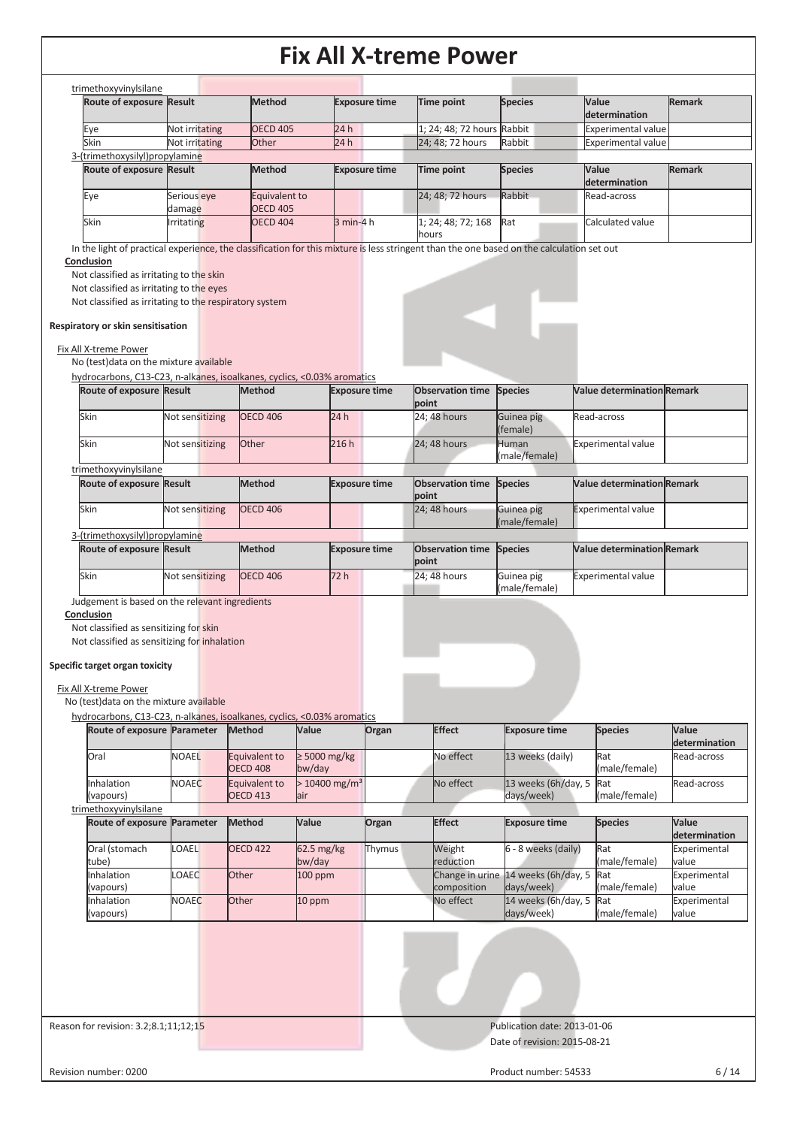|                                                                                                                                                                                                                                                                                                                                                             | Route of exposure Result           | <b>Method</b>                             |                             | <b>Exposure time</b> | Time point                                                               | <b>Species</b>                                   | Value                                                                  | <b>Remark</b>                |
|-------------------------------------------------------------------------------------------------------------------------------------------------------------------------------------------------------------------------------------------------------------------------------------------------------------------------------------------------------------|------------------------------------|-------------------------------------------|-----------------------------|----------------------|--------------------------------------------------------------------------|--------------------------------------------------|------------------------------------------------------------------------|------------------------------|
|                                                                                                                                                                                                                                                                                                                                                             |                                    |                                           |                             |                      |                                                                          |                                                  | determination                                                          |                              |
| Eye                                                                                                                                                                                                                                                                                                                                                         | Not irritating                     | <b>OECD 405</b>                           | 24h                         |                      | 1; 24; 48; 72 hours Rabbit                                               |                                                  | <b>Experimental value</b>                                              |                              |
| Skin<br>3-(trimethoxysilyl)propylamine                                                                                                                                                                                                                                                                                                                      | Not irritating                     | Other                                     | 24h                         |                      | 24; 48; 72 hours                                                         | Rabbit                                           | <b>Experimental value</b>                                              |                              |
| Route of exposure Result                                                                                                                                                                                                                                                                                                                                    |                                    | <b>Method</b>                             |                             | <b>Exposure time</b> | Time point                                                               | <b>Species</b>                                   | Value                                                                  | <b>Remark</b>                |
|                                                                                                                                                                                                                                                                                                                                                             |                                    |                                           |                             |                      |                                                                          |                                                  | determination                                                          |                              |
| Eye                                                                                                                                                                                                                                                                                                                                                         | Serious eye                        | Equivalent to                             |                             |                      | 24; 48; 72 hours                                                         | Rabbit                                           | Read-across                                                            |                              |
|                                                                                                                                                                                                                                                                                                                                                             | damage                             | <b>OECD 405</b>                           |                             |                      |                                                                          |                                                  |                                                                        |                              |
| Skin                                                                                                                                                                                                                                                                                                                                                        | Irritating                         | <b>OECD 404</b>                           |                             | $3 min-4 h$          | 1; 24; 48; 72; 168                                                       | Rat                                              | Calculated value                                                       |                              |
|                                                                                                                                                                                                                                                                                                                                                             |                                    |                                           |                             |                      | hours                                                                    |                                                  |                                                                        |                              |
| Not classified as irritating to the eyes<br>Not classified as irritating to the respiratory system<br>Respiratory or skin sensitisation<br>Fix All X-treme Power<br>No (test) data on the mixture available<br>hydrocarbons, C13-C23, n-alkanes, isoalkanes, cyclics, <0.03% aromatics<br>Route of exposure Result<br>Skin<br>Skin<br>trimethoxyvinylsilane | Not sensitizing<br>Not sensitizing | <b>Method</b><br><b>OECD 406</b><br>Other | 24h<br>216h                 | <b>Exposure time</b> | <b>Observation time Species</b><br>point<br>24; 48 hours<br>24; 48 hours | Guinea pig<br>(female)<br>Human<br>(male/female) | <b>Value determination Remark</b><br>Read-across<br>Experimental value |                              |
| Route of exposure Result                                                                                                                                                                                                                                                                                                                                    |                                    | <b>Method</b>                             |                             | <b>Exposure time</b> | <b>Observation time</b>                                                  | <b>Species</b>                                   | <b>Value determination Remark</b>                                      |                              |
| Skin                                                                                                                                                                                                                                                                                                                                                        | Not sensitizing                    | <b>OECD 406</b>                           |                             |                      | point<br>24; 48 hours                                                    | Guinea pig                                       | <b>Experimental value</b>                                              |                              |
|                                                                                                                                                                                                                                                                                                                                                             |                                    |                                           |                             |                      |                                                                          | (male/female)                                    |                                                                        |                              |
| 3-(trimethoxysilyl)propylamine                                                                                                                                                                                                                                                                                                                              |                                    |                                           |                             |                      |                                                                          |                                                  |                                                                        |                              |
| Route of exposure Result                                                                                                                                                                                                                                                                                                                                    |                                    | <b>Method</b>                             |                             | <b>Exposure time</b> | <b>Observation time</b>                                                  |                                                  |                                                                        |                              |
|                                                                                                                                                                                                                                                                                                                                                             |                                    |                                           |                             |                      |                                                                          |                                                  |                                                                        |                              |
|                                                                                                                                                                                                                                                                                                                                                             |                                    |                                           |                             |                      | point                                                                    | <b>Species</b>                                   | <b>Value determination Remark</b>                                      |                              |
|                                                                                                                                                                                                                                                                                                                                                             |                                    |                                           |                             |                      |                                                                          |                                                  |                                                                        |                              |
| Skin<br>Judgement is based on the relevant ingredients<br>Conclusion<br>Not classified as sensitizing for skin                                                                                                                                                                                                                                              | Not sensitizing                    | <b>OECD 406</b>                           | 72 h                        |                      | 24; 48 hours                                                             | Guinea pig<br>(male/female)                      | Experimental value                                                     |                              |
| Not classified as sensitizing for inhalation<br>Specific target organ toxicity<br>Fix All X-treme Power                                                                                                                                                                                                                                                     |                                    |                                           |                             |                      |                                                                          |                                                  |                                                                        |                              |
| No (test) data on the mixture available                                                                                                                                                                                                                                                                                                                     |                                    |                                           |                             |                      |                                                                          |                                                  |                                                                        |                              |
| hydrocarbons, C13-C23, n-alkanes, isoalkanes, cyclics, <0.03% aromatics                                                                                                                                                                                                                                                                                     |                                    |                                           |                             |                      |                                                                          |                                                  |                                                                        |                              |
| Route of exposure Parameter                                                                                                                                                                                                                                                                                                                                 |                                    | Method                                    | Value                       | Organ                | <b>Effect</b>                                                            | <b>Exposure time</b>                             | <b>Species</b>                                                         | Value                        |
|                                                                                                                                                                                                                                                                                                                                                             |                                    |                                           |                             |                      |                                                                          |                                                  |                                                                        | determination<br>Read-across |
| Oral                                                                                                                                                                                                                                                                                                                                                        | <b>NOAEL</b>                       | Equivalent to<br><b>OECD 408</b>          | $\geq 5000$ mg/kg           |                      | No effect                                                                | 13 weeks (daily)                                 | Rat                                                                    |                              |
|                                                                                                                                                                                                                                                                                                                                                             |                                    |                                           | bw/day                      |                      |                                                                          |                                                  | (male/female)                                                          |                              |
| Inhalation                                                                                                                                                                                                                                                                                                                                                  | <b>NOAEC</b>                       | Equivalent to                             | $> 10400$ mg/m <sup>3</sup> |                      | No effect                                                                | 13 weeks (6h/day, 5                              | Rat                                                                    | Read-across                  |
| (vapours)                                                                                                                                                                                                                                                                                                                                                   |                                    | <b>OECD 413</b>                           | air                         |                      |                                                                          | days/week)                                       | (male/female)                                                          |                              |
| trimethoxyvinylsilane<br>Route of exposure Parameter                                                                                                                                                                                                                                                                                                        |                                    | <b>Method</b>                             | Value                       | Organ                | <b>Effect</b>                                                            | <b>Exposure time</b>                             | <b>Species</b>                                                         | Value                        |
|                                                                                                                                                                                                                                                                                                                                                             |                                    |                                           |                             |                      |                                                                          |                                                  |                                                                        | determination                |
| Oral (stomach                                                                                                                                                                                                                                                                                                                                               | LOAEL                              | <b>OECD 422</b>                           | 62.5 mg/kg                  | Thymus               | Weight                                                                   | 6 - 8 weeks (daily)                              | Rat                                                                    | Experimental                 |
| tube)                                                                                                                                                                                                                                                                                                                                                       |                                    |                                           | bw/day                      |                      | reduction                                                                |                                                  | (male/female)                                                          | value                        |
| Inhalation                                                                                                                                                                                                                                                                                                                                                  | <b>OAEC</b>                        | Other                                     | 100 ppm                     |                      | Change in urine                                                          | 14 weeks (6h/day, 5                              | Rat                                                                    | Experimental                 |
| (vapours)                                                                                                                                                                                                                                                                                                                                                   |                                    |                                           |                             |                      | composition                                                              | days/week)                                       | (male/female)                                                          | value                        |
|                                                                                                                                                                                                                                                                                                                                                             |                                    |                                           |                             |                      |                                                                          |                                                  |                                                                        |                              |
|                                                                                                                                                                                                                                                                                                                                                             |                                    |                                           |                             |                      |                                                                          |                                                  |                                                                        |                              |
|                                                                                                                                                                                                                                                                                                                                                             |                                    |                                           |                             |                      |                                                                          |                                                  |                                                                        |                              |
| Inhalation                                                                                                                                                                                                                                                                                                                                                  | <b>NOAEC</b>                       | Other                                     | 10 ppm                      |                      | No effect                                                                | 14 weeks (6h/day, 5<br>days/week)                | Rat<br>(male/female)                                                   | value                        |
| (vapours)                                                                                                                                                                                                                                                                                                                                                   |                                    |                                           |                             |                      |                                                                          |                                                  |                                                                        | Experimental                 |
|                                                                                                                                                                                                                                                                                                                                                             |                                    |                                           |                             |                      |                                                                          |                                                  |                                                                        |                              |
| Reason for revision: 3.2;8.1;11;12;15                                                                                                                                                                                                                                                                                                                       |                                    |                                           |                             |                      |                                                                          | Publication date: 2013-01-06                     |                                                                        |                              |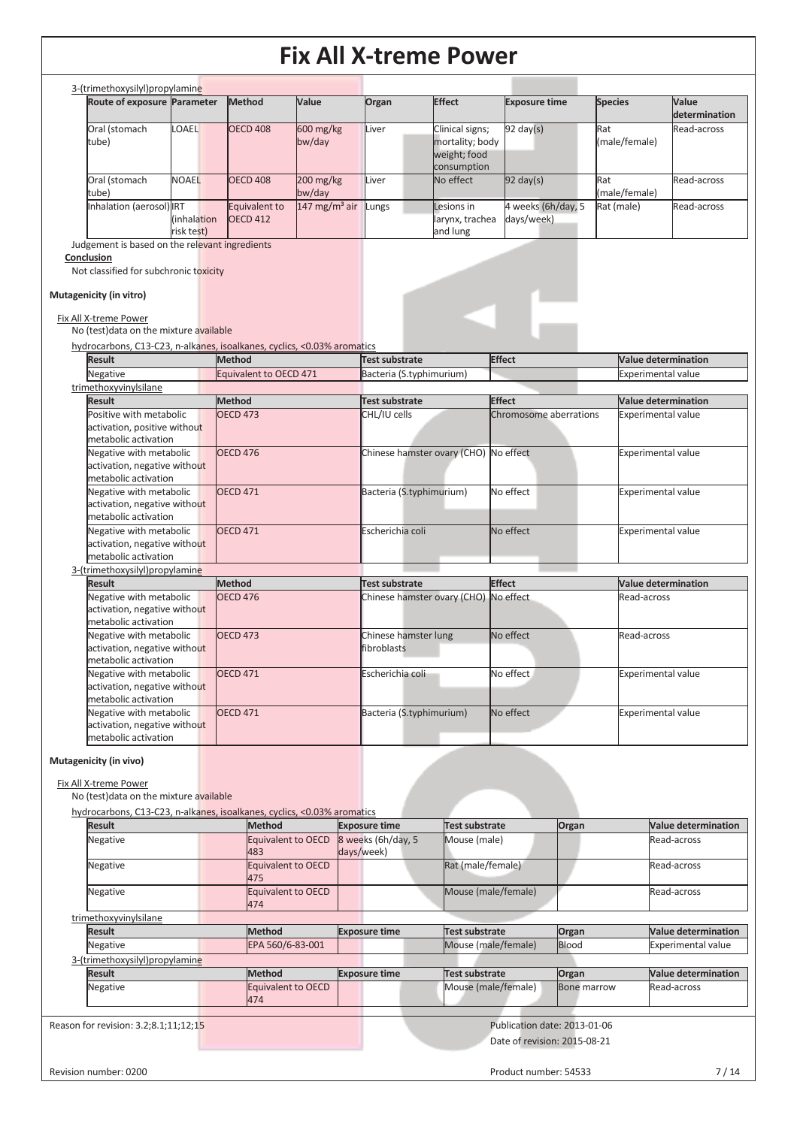| 3-(trimethoxysilyl) propylamine<br>Route of exposure Parameter                  |                           | Method                                  | Value                    | Organ                                             | <b>Effect</b>                                      | <b>Exposure time</b>                    | <b>Species</b>       | Value                                                   |
|---------------------------------------------------------------------------------|---------------------------|-----------------------------------------|--------------------------|---------------------------------------------------|----------------------------------------------------|-----------------------------------------|----------------------|---------------------------------------------------------|
|                                                                                 |                           |                                         |                          |                                                   |                                                    |                                         |                      | determination                                           |
| Oral (stomach<br>tube)                                                          | LOAEL                     | <b>OECD 408</b>                         | 600 mg/kg<br>bw/day      | Liver                                             | Clinical signs;<br>mortality; body<br>weight; food | $92 \text{ day}(s)$                     | Rat<br>(male/female) | Read-across                                             |
| Oral (stomach                                                                   | <b>NOAEL</b>              | <b>OECD 408</b>                         | 200 mg/kg                | Liver                                             | consumption<br>No effect                           | $\overline{92}$ day(s)                  | Rat                  | Read-across                                             |
| tube)<br>Inhalation (aerosol) IRT                                               |                           |                                         | bw/day                   |                                                   |                                                    |                                         | (male/female)        |                                                         |
|                                                                                 | (inhalation<br>risk test) | Equivalent to<br><b>OECD 412</b>        | $147 \text{ mg/m}^3$ air | Lungs                                             | Lesions in<br>larynx, trachea<br>and lung          | 4 weeks (6h/day, 5<br>days/week)        | Rat (male)           | Read-across                                             |
| Judgement is based on the relevant ingredients<br>Conclusion                    |                           |                                         |                          |                                                   |                                                    |                                         |                      |                                                         |
| Not classified for subchronic toxicity<br>Mutagenicity (in vitro)               |                           |                                         |                          |                                                   |                                                    |                                         |                      |                                                         |
| Fix All X-treme Power                                                           |                           |                                         |                          |                                                   |                                                    |                                         |                      |                                                         |
| No (test) data on the mixture available                                         |                           |                                         |                          |                                                   |                                                    |                                         |                      |                                                         |
| hydrocarbons, C13-C23, n-alkanes, isoalkanes, cyclics, <0.03% aromatics         |                           |                                         |                          |                                                   |                                                    |                                         |                      |                                                         |
| <b>Result</b><br>Negative                                                       |                           | <b>Method</b><br>Equivalent to OECD 471 |                          | <b>Test substrate</b><br>Bacteria (S.typhimurium) |                                                    | <b>Effect</b>                           |                      | <b>Value determination</b><br><b>Experimental value</b> |
| trimethoxyvinylsilane                                                           |                           |                                         |                          |                                                   |                                                    |                                         |                      |                                                         |
| <b>Result</b><br>Positive with metabolic                                        |                           | <b>Method</b><br><b>OECD 473</b>        |                          | <b>Test substrate</b><br>CHL/IU cells             |                                                    | <b>Effect</b><br>Chromosome aberrations |                      | <b>Value determination</b><br><b>Experimental value</b> |
| activation, positive without<br>metabolic activation                            |                           |                                         |                          |                                                   |                                                    |                                         |                      |                                                         |
| Negative with metabolic<br>activation, negative without<br>metabolic activation |                           | <b>OECD 476</b>                         |                          |                                                   | Chinese hamster ovary (CHO) No effect              |                                         |                      | <b>Experimental value</b>                               |
| Negative with metabolic<br>activation, negative without<br>metabolic activation |                           | <b>OECD 471</b>                         |                          |                                                   | Bacteria (S.typhimurium)                           | No effect                               |                      | <b>Experimental value</b>                               |
| Negative with metabolic<br>activation, negative without<br>metabolic activation |                           | <b>OECD 471</b>                         |                          | Escherichia coli                                  |                                                    | No effect                               |                      | <b>Experimental value</b>                               |
| 3-(trimethoxysilyl)propylamine                                                  |                           |                                         |                          |                                                   |                                                    |                                         |                      |                                                         |
| <b>Result</b>                                                                   |                           | <b>Method</b>                           |                          | <b>Test substrate</b>                             |                                                    | <b>Effect</b>                           |                      | Value determination                                     |
| Negative with metabolic<br>activation, negative without<br>metabolic activation |                           | <b>OECD 476</b>                         |                          |                                                   | Chinese hamster ovary (CHO) No effect              |                                         |                      | Read-across                                             |
| Negative with metabolic<br>activation, negative without<br>metabolic activation |                           | <b>OECD 473</b>                         |                          | Chinese hamster lung<br>fibroblasts               |                                                    | No effect                               |                      | Read-across                                             |
| Negative with metabolic<br>activation, negative without<br>metabolic activation |                           | <b>OECD 471</b>                         |                          | Escherichia coli                                  |                                                    | No effect                               |                      | <b>Experimental value</b>                               |
| Negative with metabolic<br>activation, negative without                         |                           | <b>OECD 471</b>                         |                          |                                                   | Bacteria (S.typhimurium)                           | No effect                               |                      | <b>Experimental value</b>                               |
| metabolic activation<br>Mutagenicity (in vivo)                                  |                           |                                         |                          |                                                   |                                                    |                                         |                      |                                                         |
| Fix All X-treme Power                                                           |                           |                                         |                          |                                                   |                                                    |                                         |                      |                                                         |
| No (test) data on the mixture available                                         |                           |                                         |                          |                                                   |                                                    |                                         |                      |                                                         |
|                                                                                 |                           | <b>Method</b>                           |                          | <b>Exposure time</b>                              | Test substrate                                     |                                         | Organ                | <b>Value determination</b>                              |
| hydrocarbons, C13-C23, n-alkanes, isoalkanes, cyclics, <0.03% aromatics         |                           | Equivalent to OECD                      |                          | 8 weeks (6h/day, 5                                | Mouse (male)                                       |                                         |                      | Read-across                                             |
| <b>Result</b><br>Negative                                                       |                           |                                         |                          | days/week)                                        |                                                    | Rat (male/female)                       |                      | Read-across                                             |
| Negative                                                                        |                           | 483<br><b>Equivalent to OECD</b>        |                          |                                                   |                                                    |                                         |                      |                                                         |
| Negative                                                                        |                           | 475<br><b>Equivalent to OECD</b>        |                          |                                                   |                                                    | Mouse (male/female)                     |                      | Read-across                                             |
|                                                                                 |                           | 474                                     |                          |                                                   |                                                    |                                         |                      |                                                         |
| trimethoxyvinylsilane<br><b>Result</b>                                          |                           | <b>Method</b>                           |                          | <b>Exposure time</b>                              | Test substrate                                     |                                         | Organ                | <b>Value determination</b>                              |
| Negative                                                                        |                           | EPA 560/6-83-001                        |                          |                                                   |                                                    | Mouse (male/female)                     | Blood                | <b>Experimental value</b>                               |
| 3-(trimethoxysilyl)propylamine                                                  |                           |                                         |                          |                                                   |                                                    |                                         |                      |                                                         |
| <b>Result</b>                                                                   |                           | <b>Method</b>                           |                          | <b>Exposure time</b>                              | Test substrate                                     |                                         | Organ                |                                                         |
| Negative                                                                        |                           | Equivalent to OECD<br>474               |                          |                                                   |                                                    | Mouse (male/female)                     | <b>Bone marrow</b>   | <b>Value determination</b><br>Read-across               |
| Reason for revision: 3.2;8.1;11;12;15                                           |                           |                                         |                          |                                                   |                                                    | Publication date: 2013-01-06            |                      |                                                         |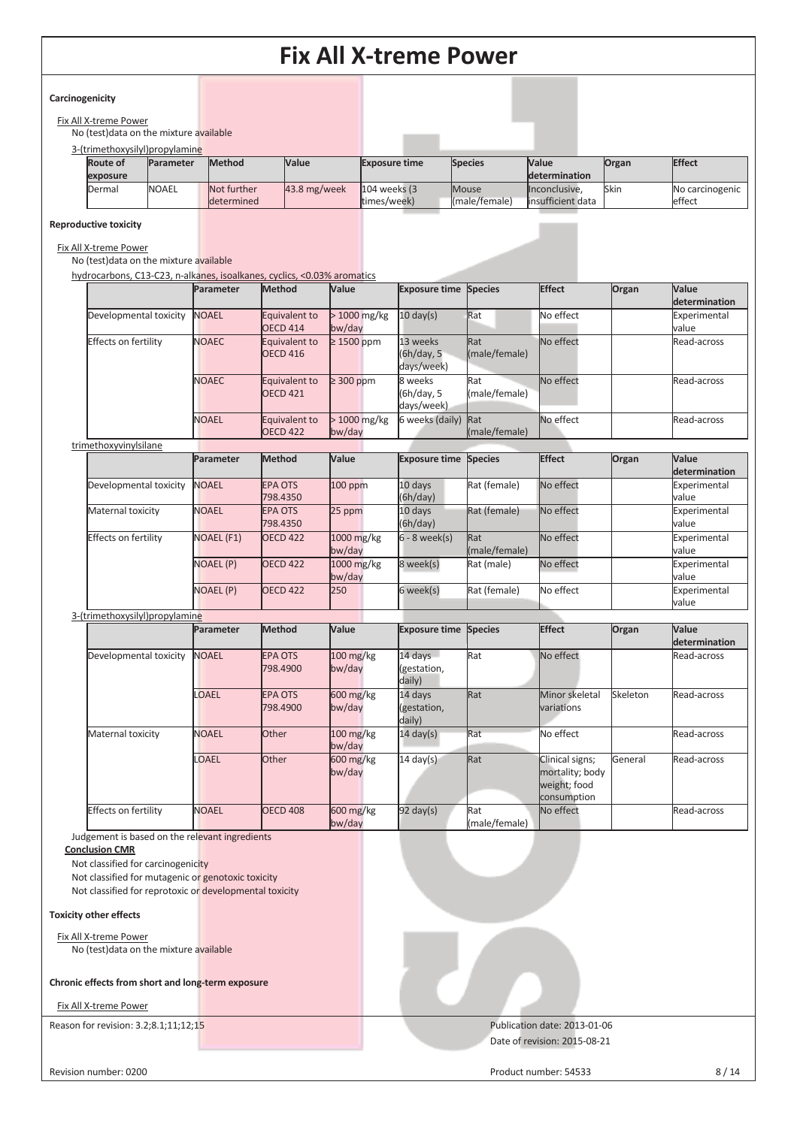#### **Carcinogenicity**

| Fix All X-treme Power                   |  |
|-----------------------------------------|--|
| No (test) data on the mixture available |  |

| 3-(trimethoxysilyl)propylamine |              |                   |                |                      |                |                   |       |                 |
|--------------------------------|--------------|-------------------|----------------|----------------------|----------------|-------------------|-------|-----------------|
| <b>Route of</b>                | Parameter    | <b>Method</b>     | Value          | <b>Exposure time</b> | <b>Species</b> | <b>Value</b>      | Organ | <b>Effect</b>   |
| exposure                       |              |                   |                |                      |                | determination     |       |                 |
| Dermal                         | <b>NOAEL</b> | Not further       | $43.8$ mg/week | $104$ weeks $(3)$    | <b>Mouse</b>   | Inconclusive.     | Skin  | No carcinogenic |
|                                |              | <b>determined</b> |                | times/week)          | (male/female)  | insufficient data |       | effect          |

#### **Reproductive toxicity**

#### Fix All X-treme Power

No (test)data on the mixture available

hydrocarbons, C13-C23, n-alkanes, isoalkanes, cyclics, <0.03% aromatics

| Parameter    | <b>Method</b>                        | Value                   |                                      |                      | <b>Effect</b>                                              | Organ | <b>Value</b><br>determination |
|--------------|--------------------------------------|-------------------------|--------------------------------------|----------------------|------------------------------------------------------------|-------|-------------------------------|
| <b>NOAEL</b> | Equivalent to<br><b>OECD 414</b>     | $>1000$ mg/kg<br>bw/day | $10 \text{ day(s)}$                  |                      | No effect                                                  |       | Experimental<br>value         |
| <b>NOAEC</b> | Equivalent to<br><b>OECD 416</b>     | $\geq$ 1500 ppm         | 13 weeks<br>(6h/day, 5<br>days/week) | Rat<br>(male/female) | No effect                                                  |       | Read-across                   |
| <b>NOAEC</b> | Equivalent to<br>OECD <sub>421</sub> | $\geq$ 300 ppm          | 8 weeks<br>(6h/day, 5<br>days/week)  | Rat<br>(male/female) | No effect                                                  |       | Read-across                   |
| <b>NOAEL</b> | Equivalent to<br><b>OECD 422</b>     | $>1000$ mg/kg<br>bw/day |                                      | (male/female)        | No effect                                                  |       | Read-across                   |
|              |                                      |                         |                                      |                      | <b>Exposure time Species</b><br>Rat<br>6 weeks (daily) Rat |       |                               |

| u illictiony villy lailute     | Parameter         | Method                     | Value                 | <b>Exposure time Species</b>     |                      | <b>Effect</b>                                                     | Organ    | Value<br>determination |
|--------------------------------|-------------------|----------------------------|-----------------------|----------------------------------|----------------------|-------------------------------------------------------------------|----------|------------------------|
| Developmental toxicity         | <b>NOAEL</b>      | <b>EPA OTS</b><br>798.4350 | $100$ ppm             | 10 days<br>(6h/day)              | Rat (female)         | No effect                                                         |          | Experimental<br>value  |
| Maternal toxicity              | <b>NOAEL</b>      | <b>EPA OTS</b><br>798.4350 | 25 ppm                | 10 days<br>(6h/day)              | Rat (female)         | No effect                                                         |          | Experimental<br>value  |
| Effects on fertility           | <b>NOAEL (F1)</b> | <b>OECD 422</b>            | 1000 mg/kg<br>bw/day  | $6 - 8$ week(s)                  | Rat<br>(male/female) | No effect                                                         |          | Experimental<br>value  |
|                                | <b>NOAEL (P)</b>  | <b>OECD 422</b>            | 1000 mg/kg<br>bw/day  | 8 week(s)                        | Rat (male)           | No effect                                                         |          | Experimental<br>value  |
|                                | <b>NOAEL (P)</b>  | <b>OECD 422</b>            | 250                   | 6 week(s)                        | Rat (female)         | No effect                                                         |          | Experimental<br>value  |
| 3-(trimethoxysilyl)propylamine |                   |                            |                       |                                  |                      |                                                                   |          |                        |
|                                | Parameter         | Method                     | Value                 | <b>Exposure time Species</b>     |                      | <b>Effect</b>                                                     | Organ    | Value<br>determination |
| Developmental toxicity         | <b>NOAEL</b>      | <b>EPA OTS</b><br>798.4900 | $100$ mg/kg<br>bw/day | 14 days<br>(gestation,<br>daily) | Rat                  | No effect                                                         |          | Read-across            |
|                                | <b>OAEL</b>       | <b>EPA OTS</b><br>798.4900 | 600 mg/kg<br>bw/day   | 14 days<br>(gestation,<br>daily) | Rat                  | Minor skeletal<br><b>variations</b>                               | Skeleton | Read-across            |
| Maternal toxicity              | <b>NOAEL</b>      | Other                      | $100$ mg/kg<br>bw/day | $14 \text{ day}(s)$              | Rat                  | No effect                                                         |          | Read-across            |
|                                | <b>LOAEL</b>      | Other                      | 600 mg/kg<br>bw/day   | $14 \text{ day(s)}$              | Rat                  | Clinical signs;<br>mortality; body<br>weight; food<br>consumption | General  | Read-across            |
| <b>Effects on fertility</b>    | <b>NOAEL</b>      | <b>OECD 408</b>            | 600 mg/kg<br>bw/day   | $92 \text{ day(s)}$              | Rat<br>(male/female) | No effect                                                         |          | Read-across            |

Judgement is based on the relevant ingredients

**Conclusion CMR** 

Not classified for carcinogenicity

Not classified for mutagenic or genotoxic toxicity

Not classified for reprotoxic or developmental toxicity

#### **Toxicity other effects**

Fix All X-treme Power No (test)data on the mixture available

#### **Chronic effects from short and long-term exposure**

Fix All X-treme Power

Reason for revision: 3.2;8.1;11;12;15 Publication date: 2013-01-06

Date of revision: 2015-08-21

Revision number: 0200 8/14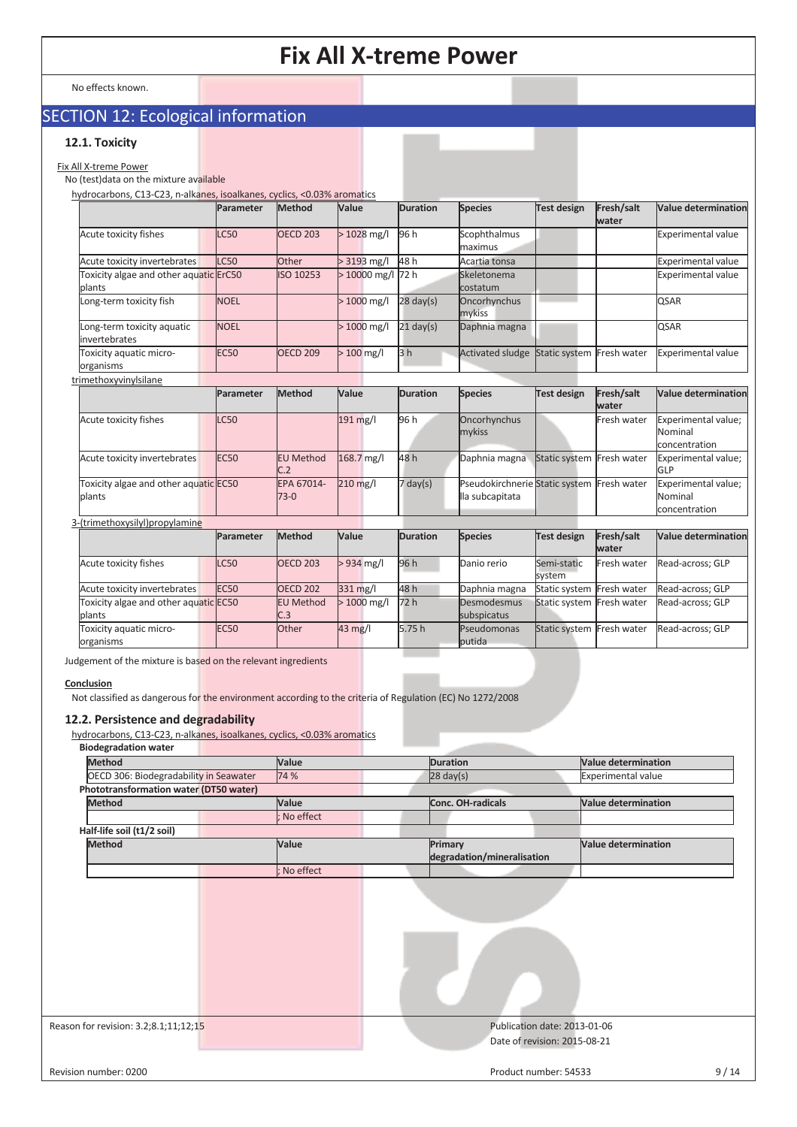No effects known.

### SECTION 12: Ecological information

#### **12.1. Toxicity**

Fix All X-treme Power

#### No (test)data on the mixture available

hydrocarbons, C13-C23, n-alkanes, isoalkanes, cyclics, <0.03% aromatics

|                                                  | Parameter   | Method                  | Value             | <b>Duration</b>     | <b>Species</b>                                                | <b>Test design</b>        | Fresh/salt<br>water | <b>Value determination</b>                      |
|--------------------------------------------------|-------------|-------------------------|-------------------|---------------------|---------------------------------------------------------------|---------------------------|---------------------|-------------------------------------------------|
| Acute toxicity fishes                            | <b>LC50</b> | <b>OECD 203</b>         | $>1028$ mg/l      | 96 h                | Scophthalmus<br>maximus                                       |                           |                     | <b>Experimental value</b>                       |
| Acute toxicity invertebrates                     | C50         | Other                   | $> 3193$ mg/l     | 48h                 | Acartia tonsa                                                 |                           |                     | <b>Experimental value</b>                       |
| Toxicity algae and other aquatic ErC50<br>blants |             | ISO 10253               | > 10000 mg/l 72 h |                     | Skeletonema<br>costatum                                       |                           |                     | <b>Experimental value</b>                       |
| Long-term toxicity fish                          | <b>NOEL</b> |                         | $>1000$ mg/l      | $28 \text{ day}(s)$ | Oncorhynchus<br>mykiss                                        |                           |                     | <b>QSAR</b>                                     |
| Long-term toxicity aquatic<br>invertebrates      | <b>NOEL</b> |                         | $>1000$ mg/l      | $21$ day(s)         | Daphnia magna                                                 |                           |                     | <b>QSAR</b>                                     |
| Toxicity aquatic micro-<br>organisms             | <b>EC50</b> | <b>OECD 209</b>         | $>100$ mg/l       | 3 <sub>h</sub>      | <b>Activated sludge</b>                                       | Static system Fresh water |                     | Experimental value                              |
| trimethoxyvinylsilane                            |             |                         |                   |                     |                                                               |                           |                     |                                                 |
|                                                  | Parameter   | Method                  | Value             | <b>Duration</b>     | <b>Species</b>                                                | <b>Test design</b>        | Fresh/salt<br>water | <b>Value determination</b>                      |
| Acute toxicity fishes                            | C50         |                         | 191 mg/l          | 96 h                | Oncorhynchus<br>mykiss                                        |                           | Fresh water         | Experimental value;<br>Nominal<br>concentration |
| Acute toxicity invertebrates                     | <b>EC50</b> | <b>EU Method</b><br>C.2 | 168.7 mg/l        | 48 h                | Daphnia magna                                                 | Static system Fresh water |                     | Experimental value;<br>GLP                      |
| Toxicity algae and other aquatic EC50<br>plants  |             | EPA 67014-<br>$73-0$    | 210 mg/l          | $7$ day(s)          | Pseudokirchnerie Static system Fresh water<br>lla subcapitata |                           |                     | Experimental value;<br>Nominal<br>concentration |
| 3-(trimethoxysilyl)propylamine                   |             |                         |                   |                     |                                                               |                           |                     |                                                 |
|                                                  | Parameter   | Method                  | Value             | <b>Duration</b>     | <b>Species</b>                                                | <b>Test design</b>        | Fresh/salt<br>water | <b>Value determination</b>                      |
| Acute toxicity fishes                            | <b>LC50</b> | <b>OECD 203</b>         | $> 934$ mg/l      | 96 h                | Danio rerio                                                   | Semi-static<br>system     | Fresh water         | Read-across; GLP                                |
| Acute toxicity invertebrates                     | <b>EC50</b> | <b>OECD 202</b>         | 331 mg/l          | 48h                 | Daphnia magna                                                 | Static system Fresh water |                     | Read-across; GLP                                |
| Toxicity algae and other aquatic EC50<br>plants  |             | <b>EU Method</b><br>C.3 | $>1000$ mg/l      | 72h                 | Desmodesmus<br>subspicatus                                    | Static system Fresh water |                     | Read-across; GLP                                |
| Toxicity aquatic micro-<br>organisms             | <b>EC50</b> | Other                   | 43 mg/l           | 5.75h               | Pseudomonas<br>butida                                         | Static system Fresh water |                     | Read-across; GLP                                |

Judgement of the mixture is based on the relevant ingredients

#### **Conclusion**

Not classified as dangerous for the environment according to the criteria of Regulation (EC) No 1272/2008

#### **12.2. Persistence and degradability**

hydrocarbons, C13-C23, n-alkanes, isoalkanes, cyclics, <0.03% aromatics

| <b>Biodegradation water</b> |  |
|-----------------------------|--|
|-----------------------------|--|

| <b>Method</b>                          | Value     | <b>Duration</b>                                              | <b>Value determination</b> |
|----------------------------------------|-----------|--------------------------------------------------------------|----------------------------|
| OECD 306: Biodegradability in Seawater | 74 %      | $28 \text{ day}(s)$                                          | <b>Experimental value</b>  |
| Phototransformation water (DT50 water) |           |                                                              |                            |
| <b>Method</b>                          | Value     | Conc. OH-radicals                                            | <b>Value determination</b> |
|                                        | No effect |                                                              |                            |
| Half-life soil (t1/2 soil)             |           |                                                              |                            |
| <b>Method</b>                          | Value     | Primary<br>degradation/mineralisation                        | <b>Value determination</b> |
|                                        | No effect |                                                              |                            |
|                                        |           |                                                              |                            |
| Reason for revision: 3.2;8.1;11;12;15  |           | Publication date: 2013-01-06<br>Date of revision: 2015-08-21 |                            |
| Revision number: 0200                  |           | Product number: 54533                                        | 9/14                       |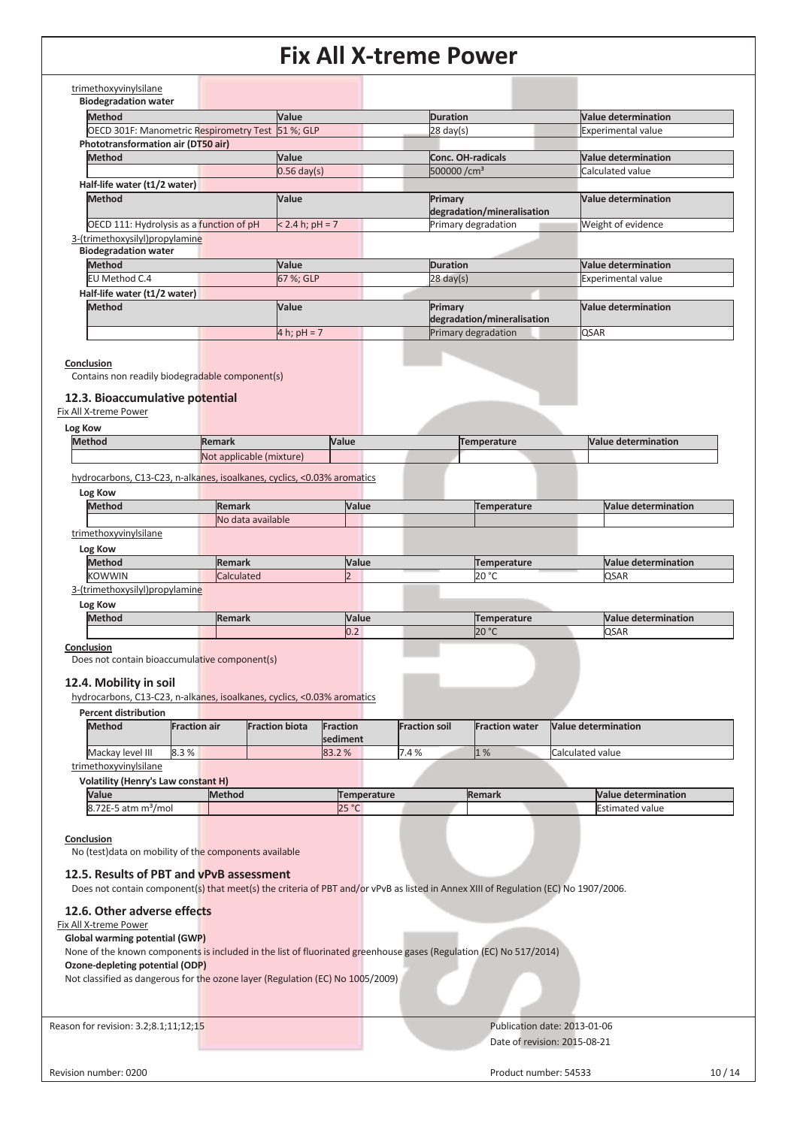| trimethoxyvinylsilane                             |                   |                            |                            |
|---------------------------------------------------|-------------------|----------------------------|----------------------------|
| <b>Biodegradation water</b>                       |                   |                            |                            |
| <b>Method</b>                                     | Value             | <b>Duration</b>            | <b>Value determination</b> |
| OECD 301F: Manometric Respirometry Test 51 %; GLP |                   | $28 \text{ day}(s)$        | <b>Experimental value</b>  |
| Phototransformation air (DT50 air)                |                   |                            |                            |
| <b>Method</b>                                     | Value             | Conc. OH-radicals          | <b>Value determination</b> |
|                                                   | $0.56$ day(s)     | 500000/cm <sup>3</sup>     | Calculated value           |
| Half-life water (t1/2 water)                      |                   |                            |                            |
| <b>Method</b>                                     | Value             | Primary                    | <b>Value determination</b> |
|                                                   |                   | degradation/mineralisation |                            |
| OECD 111: Hydrolysis as a function of pH          | $< 2.4 h; pH = 7$ | Primary degradation        | Weight of evidence         |
| 3-(trimethoxysilyl)propylamine                    |                   |                            |                            |
| <b>Biodegradation water</b>                       |                   |                            |                            |
| <b>Method</b>                                     | Value             | <b>Duration</b>            | <b>Value determination</b> |
| EU Method C.4                                     | 67 %; GLP         | $28 \text{ day}(s)$        | <b>Experimental value</b>  |
| Half-life water (t1/2 water)                      |                   |                            |                            |
| <b>Method</b>                                     | Value             | Primary                    | Value determination        |
|                                                   |                   | degradation/mineralisation |                            |
|                                                   | 4 h; $pH = 7$     | Primary degradation        | <b>QSAR</b>                |
|                                                   |                   |                            |                            |

**Conclusion** 

Contains non readily biodegradable component(s)

#### **12.3. Bioaccumulative potential**

#### Fix All X-treme Power

| Log Kow |
|---------|
|---------|

| <b>Methor</b> | <b>IRemark</b>                                                | Value | π.<br>perature | Nа<br>mination |
|---------------|---------------------------------------------------------------|-------|----------------|----------------|
|               | <b>Not</b><br>m <sub>1</sub><br>applicable<br><b>THIXTULE</b> |       |                |                |

hydrocarbons, C13-C23, n-alkanes, isoalkanes, cyclics, <0.03% aromatics

| Log Kow                        |                   |       |             |                            |
|--------------------------------|-------------------|-------|-------------|----------------------------|
| <b>Method</b>                  | <b>Remark</b>     | Value | Temperature | <b>Value determination</b> |
|                                | No data available |       |             |                            |
| trimethoxyvinylsilane          |                   |       |             |                            |
| Log Kow                        |                   |       |             |                            |
| <b>Method</b>                  | <b>Remark</b>     | Value | Temperature | <b>Value determination</b> |
| <b>KOWWIN</b>                  | Calculated        |       | 20 °C       | <b>QSAR</b>                |
| 3-(trimethoxysilyl)propylamine |                   |       |             |                            |

**Log Kow** 

| Meth.<br>чил. | <b>Value</b> |       | M<br>uon              |
|---------------|--------------|-------|-----------------------|
|               | NU.∠         | 20 °C | ACAD<br><b>IU</b> JAN |

#### **Conclusion**

Does not contain bioaccumulative component(s)

#### **12.4. Mobility in soil**

hydrocarbons, C13-C23, n-alkanes, isoalkanes, cyclics, <0.03% aromatics

**Percent distribution** 

| Method                | <b>Fraction air</b> | <b>Fraction biota</b> | Fraction<br>sediment | <b>Fraction soil</b> | <b>Fraction water</b> | <b>Nalue determination</b> |
|-----------------------|---------------------|-----------------------|----------------------|----------------------|-----------------------|----------------------------|
| Mackay level III      | 8.3%                |                       | 83.2 %               | 7.4%                 | 1%                    | Calculated value           |
| trimethoxyvinylsilane |                     |                       |                      |                      |                       |                            |

### **Volatility (Henry's Law constant H)**

| Value                                     | <b>Method</b> | emperature        | <b>Remark</b> | <b>Value determination</b> |
|-------------------------------------------|---------------|-------------------|---------------|----------------------------|
| フつに<br>I8.<br>'/moi<br>.-5 atm m<br>1 L L |               | DE O<br><b>ZJ</b> |               | Estimated value            |

#### **Conclusion**

No (test)data on mobility of the components available

#### **12.5. Results of PBT and vPvB assessment**

Does not contain component(s) that meet(s) the criteria of PBT and/or vPvB as listed in Annex XIII of Regulation (EC) No 1907/2006.

#### **12.6. Other adverse effects**  Fix All X-treme Power

**Global warming potential (GWP)** 

None of the known components is included in the list of fluorinated greenhouse gases (Regulation (EC) No 517/2014)

#### **Ozone-depleting potential (ODP)**

Not classified as dangerous for the ozone layer (Regulation (EC) No 1005/2009)

Reason for revision: 3.2;8.1;11;12;15 Publication date: 2013-01-06

# Date of revision: 2015-08-21

Revision number: 0200 10 / 14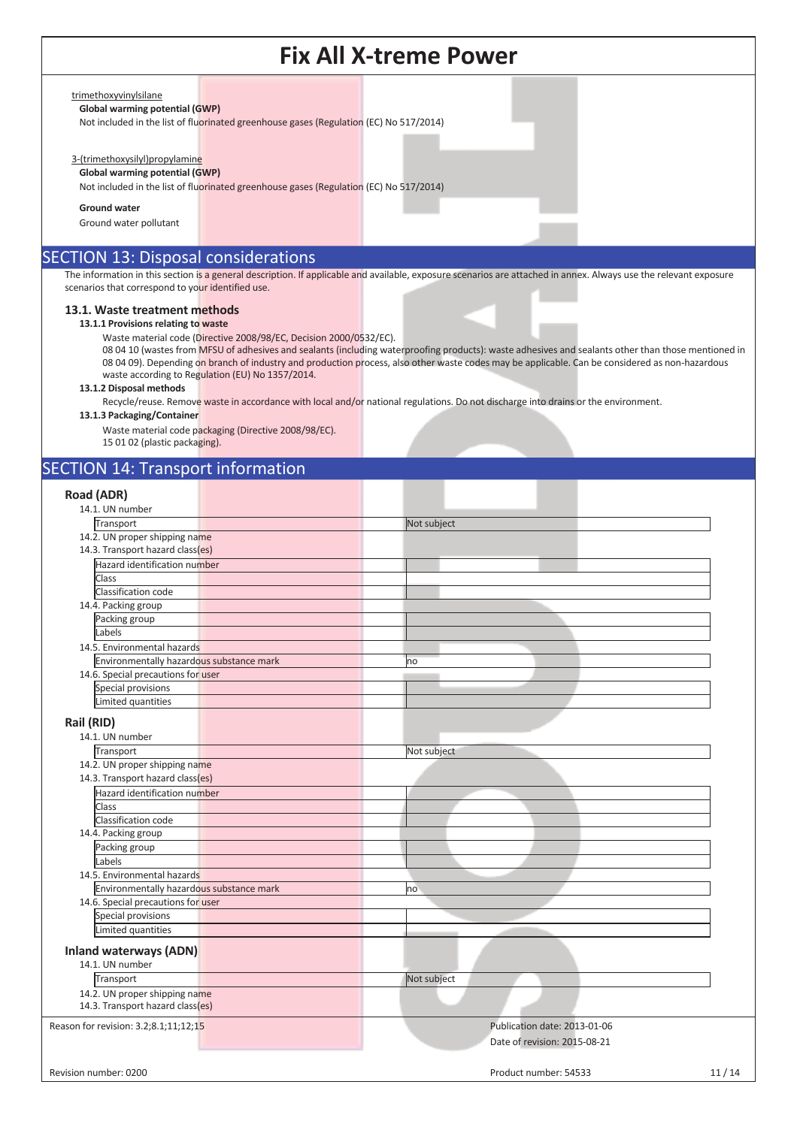#### trimethoxyvinylsilane

**Global warming potential (GWP)** 

Not included in the list of fluorinated greenhouse gases (Regulation (EC) No 517/2014)

#### 3-(trimethoxysilyl)propylamine

#### **Global warming potential (GWP)**

Not included in the list of fluorinated greenhouse gases (Regulation (EC) No 517/2014)

**Ground water** 

Ground water pollutant

### SECTION 13: Disposal considerations

The information in this section is a general description. If applicable and available, exposure scenarios are attached in annex. Always use the relevant exposure scenarios that correspond to your identified use.

#### **13.1. Waste treatment methods**

**13.1.1 Provisions relating to waste** 

Waste material code (Directive 2008/98/EC, Decision 2000/0532/EC).

08 04 10 (wastes from MFSU of adhesives and sealants (including waterproofing products): waste adhesives and sealants other than those mentioned in 08 04 09). Depending on branch of industry and production process, also other waste codes may be applicable. Can be considered as non-hazardous waste according to Regulation (EU) No 1357/2014.

#### **13.1.2 Disposal methods**

Recycle/reuse. Remove waste in accordance with local and/or national regulations. Do not discharge into drains or the environment.

**13.1.3 Packaging/Container** 

Waste material code packaging (Directive 2008/98/EC). 15 01 02 (plastic packaging).

### SECTION 14: Transport information

| 14.1. UN number<br>Transport<br>Not subject<br>14.2. UN proper shipping name<br>14.3. Transport hazard class(es)<br>Hazard identification number<br>Class<br>Classification code<br>14.4. Packing group<br>Packing group<br>Labels<br>14.5. Environmental hazards<br>Environmentally hazardous substance mark<br>no<br>14.6. Special precautions for user<br>Special provisions<br>Limited quantities<br>Rail (RID)<br>14.1. UN number<br>Transport<br>Not subject<br>14.2. UN proper shipping name<br>14.3. Transport hazard class(es)<br>Hazard identification number<br>Class<br>Classification code<br>14.4. Packing group<br>Packing group<br>Labels<br>14.5. Environmental hazards<br>Environmentally hazardous substance mark<br>no<br>14.6. Special precautions for user<br>Special provisions<br>Limited quantities<br><b>Inland waterways (ADN)</b><br>14.1. UN number<br>Not subject<br>Transport<br>14.2. UN proper shipping name<br>14.3. Transport hazard class(es)<br>Publication date: 2013-01-06<br>Date of revision: 2015-08-21 | Road (ADR)                            |       |
|---------------------------------------------------------------------------------------------------------------------------------------------------------------------------------------------------------------------------------------------------------------------------------------------------------------------------------------------------------------------------------------------------------------------------------------------------------------------------------------------------------------------------------------------------------------------------------------------------------------------------------------------------------------------------------------------------------------------------------------------------------------------------------------------------------------------------------------------------------------------------------------------------------------------------------------------------------------------------------------------------------------------------------------------------|---------------------------------------|-------|
|                                                                                                                                                                                                                                                                                                                                                                                                                                                                                                                                                                                                                                                                                                                                                                                                                                                                                                                                                                                                                                                   |                                       |       |
|                                                                                                                                                                                                                                                                                                                                                                                                                                                                                                                                                                                                                                                                                                                                                                                                                                                                                                                                                                                                                                                   |                                       |       |
|                                                                                                                                                                                                                                                                                                                                                                                                                                                                                                                                                                                                                                                                                                                                                                                                                                                                                                                                                                                                                                                   |                                       |       |
|                                                                                                                                                                                                                                                                                                                                                                                                                                                                                                                                                                                                                                                                                                                                                                                                                                                                                                                                                                                                                                                   |                                       |       |
|                                                                                                                                                                                                                                                                                                                                                                                                                                                                                                                                                                                                                                                                                                                                                                                                                                                                                                                                                                                                                                                   |                                       |       |
|                                                                                                                                                                                                                                                                                                                                                                                                                                                                                                                                                                                                                                                                                                                                                                                                                                                                                                                                                                                                                                                   |                                       |       |
|                                                                                                                                                                                                                                                                                                                                                                                                                                                                                                                                                                                                                                                                                                                                                                                                                                                                                                                                                                                                                                                   |                                       |       |
|                                                                                                                                                                                                                                                                                                                                                                                                                                                                                                                                                                                                                                                                                                                                                                                                                                                                                                                                                                                                                                                   |                                       |       |
|                                                                                                                                                                                                                                                                                                                                                                                                                                                                                                                                                                                                                                                                                                                                                                                                                                                                                                                                                                                                                                                   |                                       |       |
|                                                                                                                                                                                                                                                                                                                                                                                                                                                                                                                                                                                                                                                                                                                                                                                                                                                                                                                                                                                                                                                   |                                       |       |
|                                                                                                                                                                                                                                                                                                                                                                                                                                                                                                                                                                                                                                                                                                                                                                                                                                                                                                                                                                                                                                                   |                                       |       |
|                                                                                                                                                                                                                                                                                                                                                                                                                                                                                                                                                                                                                                                                                                                                                                                                                                                                                                                                                                                                                                                   |                                       |       |
|                                                                                                                                                                                                                                                                                                                                                                                                                                                                                                                                                                                                                                                                                                                                                                                                                                                                                                                                                                                                                                                   |                                       |       |
|                                                                                                                                                                                                                                                                                                                                                                                                                                                                                                                                                                                                                                                                                                                                                                                                                                                                                                                                                                                                                                                   |                                       |       |
|                                                                                                                                                                                                                                                                                                                                                                                                                                                                                                                                                                                                                                                                                                                                                                                                                                                                                                                                                                                                                                                   |                                       |       |
|                                                                                                                                                                                                                                                                                                                                                                                                                                                                                                                                                                                                                                                                                                                                                                                                                                                                                                                                                                                                                                                   |                                       |       |
|                                                                                                                                                                                                                                                                                                                                                                                                                                                                                                                                                                                                                                                                                                                                                                                                                                                                                                                                                                                                                                                   |                                       |       |
|                                                                                                                                                                                                                                                                                                                                                                                                                                                                                                                                                                                                                                                                                                                                                                                                                                                                                                                                                                                                                                                   |                                       |       |
|                                                                                                                                                                                                                                                                                                                                                                                                                                                                                                                                                                                                                                                                                                                                                                                                                                                                                                                                                                                                                                                   |                                       |       |
|                                                                                                                                                                                                                                                                                                                                                                                                                                                                                                                                                                                                                                                                                                                                                                                                                                                                                                                                                                                                                                                   |                                       |       |
|                                                                                                                                                                                                                                                                                                                                                                                                                                                                                                                                                                                                                                                                                                                                                                                                                                                                                                                                                                                                                                                   |                                       |       |
|                                                                                                                                                                                                                                                                                                                                                                                                                                                                                                                                                                                                                                                                                                                                                                                                                                                                                                                                                                                                                                                   |                                       |       |
|                                                                                                                                                                                                                                                                                                                                                                                                                                                                                                                                                                                                                                                                                                                                                                                                                                                                                                                                                                                                                                                   |                                       |       |
|                                                                                                                                                                                                                                                                                                                                                                                                                                                                                                                                                                                                                                                                                                                                                                                                                                                                                                                                                                                                                                                   |                                       |       |
|                                                                                                                                                                                                                                                                                                                                                                                                                                                                                                                                                                                                                                                                                                                                                                                                                                                                                                                                                                                                                                                   |                                       |       |
|                                                                                                                                                                                                                                                                                                                                                                                                                                                                                                                                                                                                                                                                                                                                                                                                                                                                                                                                                                                                                                                   |                                       |       |
|                                                                                                                                                                                                                                                                                                                                                                                                                                                                                                                                                                                                                                                                                                                                                                                                                                                                                                                                                                                                                                                   |                                       |       |
|                                                                                                                                                                                                                                                                                                                                                                                                                                                                                                                                                                                                                                                                                                                                                                                                                                                                                                                                                                                                                                                   |                                       |       |
|                                                                                                                                                                                                                                                                                                                                                                                                                                                                                                                                                                                                                                                                                                                                                                                                                                                                                                                                                                                                                                                   |                                       |       |
|                                                                                                                                                                                                                                                                                                                                                                                                                                                                                                                                                                                                                                                                                                                                                                                                                                                                                                                                                                                                                                                   |                                       |       |
|                                                                                                                                                                                                                                                                                                                                                                                                                                                                                                                                                                                                                                                                                                                                                                                                                                                                                                                                                                                                                                                   |                                       |       |
|                                                                                                                                                                                                                                                                                                                                                                                                                                                                                                                                                                                                                                                                                                                                                                                                                                                                                                                                                                                                                                                   |                                       |       |
|                                                                                                                                                                                                                                                                                                                                                                                                                                                                                                                                                                                                                                                                                                                                                                                                                                                                                                                                                                                                                                                   |                                       |       |
|                                                                                                                                                                                                                                                                                                                                                                                                                                                                                                                                                                                                                                                                                                                                                                                                                                                                                                                                                                                                                                                   |                                       |       |
|                                                                                                                                                                                                                                                                                                                                                                                                                                                                                                                                                                                                                                                                                                                                                                                                                                                                                                                                                                                                                                                   |                                       |       |
|                                                                                                                                                                                                                                                                                                                                                                                                                                                                                                                                                                                                                                                                                                                                                                                                                                                                                                                                                                                                                                                   |                                       |       |
|                                                                                                                                                                                                                                                                                                                                                                                                                                                                                                                                                                                                                                                                                                                                                                                                                                                                                                                                                                                                                                                   |                                       |       |
|                                                                                                                                                                                                                                                                                                                                                                                                                                                                                                                                                                                                                                                                                                                                                                                                                                                                                                                                                                                                                                                   | Reason for revision: 3.2;8.1;11;12;15 |       |
|                                                                                                                                                                                                                                                                                                                                                                                                                                                                                                                                                                                                                                                                                                                                                                                                                                                                                                                                                                                                                                                   |                                       |       |
|                                                                                                                                                                                                                                                                                                                                                                                                                                                                                                                                                                                                                                                                                                                                                                                                                                                                                                                                                                                                                                                   |                                       |       |
| Product number: 54533                                                                                                                                                                                                                                                                                                                                                                                                                                                                                                                                                                                                                                                                                                                                                                                                                                                                                                                                                                                                                             | Revision number: 0200                 | 11/14 |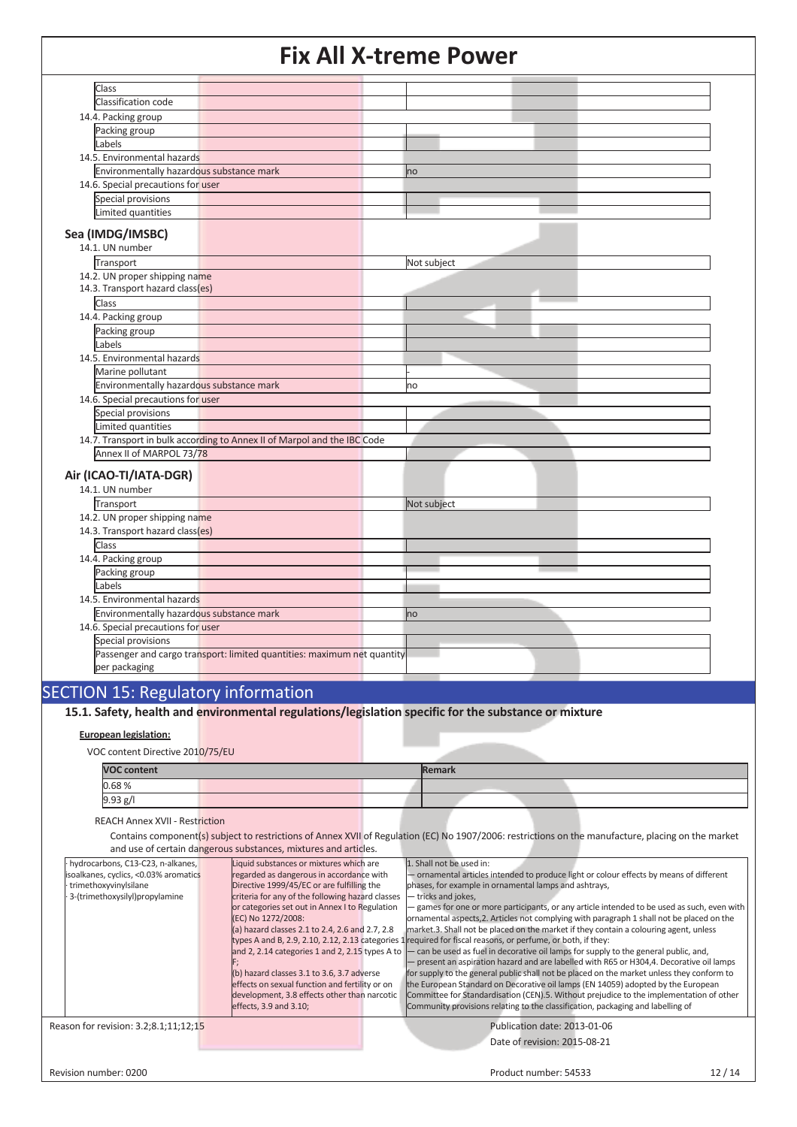| Class                                    |                                                                          |             |
|------------------------------------------|--------------------------------------------------------------------------|-------------|
| Classification code                      |                                                                          |             |
| 14.4. Packing group                      |                                                                          |             |
| Packing group                            |                                                                          |             |
| Labels                                   |                                                                          |             |
| 14.5. Environmental hazards              |                                                                          |             |
| Environmentally hazardous substance mark |                                                                          | <b>no</b>   |
| 14.6. Special precautions for user       |                                                                          |             |
| Special provisions                       |                                                                          |             |
| Limited quantities                       |                                                                          |             |
|                                          |                                                                          |             |
| Sea (IMDG/IMSBC)                         |                                                                          |             |
| 14.1. UN number                          |                                                                          |             |
| Transport                                |                                                                          | Not subject |
| 14.2. UN proper shipping name            |                                                                          |             |
| 14.3. Transport hazard class(es)         |                                                                          |             |
| Class                                    |                                                                          |             |
| 14.4. Packing group                      |                                                                          |             |
| Packing group                            |                                                                          |             |
| Labels                                   |                                                                          |             |
| 14.5. Environmental hazards              |                                                                          |             |
| Marine pollutant                         |                                                                          |             |
| Environmentally hazardous substance mark |                                                                          | no          |
| 14.6. Special precautions for user       |                                                                          |             |
| Special provisions                       |                                                                          |             |
| Limited quantities                       |                                                                          |             |
|                                          | 14.7. Transport in bulk according to Annex II of Marpol and the IBC Code |             |
| Annex II of MARPOL 73/78                 |                                                                          |             |
| Air (ICAO-TI/IATA-DGR)                   |                                                                          |             |
| 14.1. UN number                          |                                                                          |             |
|                                          |                                                                          |             |
| Transport                                |                                                                          | Not subject |
| 14.2. UN proper shipping name            |                                                                          |             |
| 14.3. Transport hazard class(es)         |                                                                          |             |
| Class                                    |                                                                          |             |
| 14.4. Packing group                      |                                                                          |             |
| Packing group                            |                                                                          |             |
| Labels                                   |                                                                          |             |
| 14.5. Environmental hazards              |                                                                          |             |
| Environmentally hazardous substance mark |                                                                          | no          |
| 14.6. Special precautions for user       |                                                                          |             |
| Special provisions                       |                                                                          |             |
|                                          | Passenger and cargo transport: limited quantities: maximum net quantity  |             |
| per packaging                            |                                                                          |             |

### SECTION 15: Regulatory information

**15.1. Safety, health and environmental regulations/legislation specific for the substance or mixture**

#### **European legislation:**

VOC content Directive 2010/75/EU

| <b>VOC content</b> | Remark |  |  |
|--------------------|--------|--|--|
| 0.68%              |        |  |  |
| 9.93 g/l           |        |  |  |

REACH Annex XVII - Restriction

 Contains component(s) subject to restrictions of Annex XVII of Regulation (EC) No 1907/2006: restrictions on the manufacture, placing on the market and use of certain dangerous substances, mixtures and articles.

|  | hydrocarbons, C13-C23, n-alkanes,                                                  |  | Liquid substances or mixtures which are         |                     | 1. Shall not be used in:                                                                                     |       |
|--|------------------------------------------------------------------------------------|--|-------------------------------------------------|---------------------|--------------------------------------------------------------------------------------------------------------|-------|
|  | isoalkanes, cyclics, <0.03% aromatics                                              |  | regarded as dangerous in accordance with        |                     | - ornamental articles intended to produce light or colour effects by means of different                      |       |
|  | trimethoxyvinylsilane                                                              |  | Directive 1999/45/EC or are fulfilling the      |                     | phases, for example in ornamental lamps and ashtrays,                                                        |       |
|  | criteria for any of the following hazard classes<br>3-(trimethoxysilyl)propylamine |  |                                                 | - tricks and jokes, |                                                                                                              |       |
|  |                                                                                    |  | or categories set out in Annex I to Regulation  |                     | - games for one or more participants, or any article intended to be used as such, even with                  |       |
|  |                                                                                    |  | (EC) No 1272/2008:                              |                     | ornamental aspects, 2. Articles not complying with paragraph 1 shall not be placed on the                    |       |
|  |                                                                                    |  | (a) hazard classes 2.1 to 2.4, 2.6 and 2.7, 2.8 |                     | market.3. Shall not be placed on the market if they contain a colouring agent, unless                        |       |
|  |                                                                                    |  |                                                 |                     | types A and B, 2.9, 2.10, 2.12, 2.13 categories 1 required for fiscal reasons, or perfume, or both, if they: |       |
|  |                                                                                    |  | and 2, 2.14 categories 1 and 2, 2.15 types A to |                     | - can be used as fuel in decorative oil lamps for supply to the general public, and,                         |       |
|  |                                                                                    |  |                                                 |                     | - present an aspiration hazard and are labelled with R65 or H304,4. Decorative oil lamps                     |       |
|  |                                                                                    |  | (b) hazard classes 3.1 to 3.6, 3.7 adverse      |                     | for supply to the general public shall not be placed on the market unless they conform to                    |       |
|  |                                                                                    |  | effects on sexual function and fertility or on  |                     | the European Standard on Decorative oil lamps (EN 14059) adopted by the European                             |       |
|  |                                                                                    |  | development, 3.8 effects other than narcotic    |                     | Committee for Standardisation (CEN).5. Without prejudice to the implementation of other                      |       |
|  |                                                                                    |  | effects, 3.9 and 3.10;                          |                     | Community provisions relating to the classification, packaging and labelling of                              |       |
|  | Reason for revision: 3.2;8.1;11;12;15                                              |  |                                                 |                     | Publication date: 2013-01-06                                                                                 |       |
|  |                                                                                    |  |                                                 |                     | Date of revision: 2015-08-21                                                                                 |       |
|  |                                                                                    |  |                                                 |                     |                                                                                                              |       |
|  | Revision number: 0200                                                              |  |                                                 |                     | Product number: 54533                                                                                        | 12/14 |
|  |                                                                                    |  |                                                 |                     |                                                                                                              |       |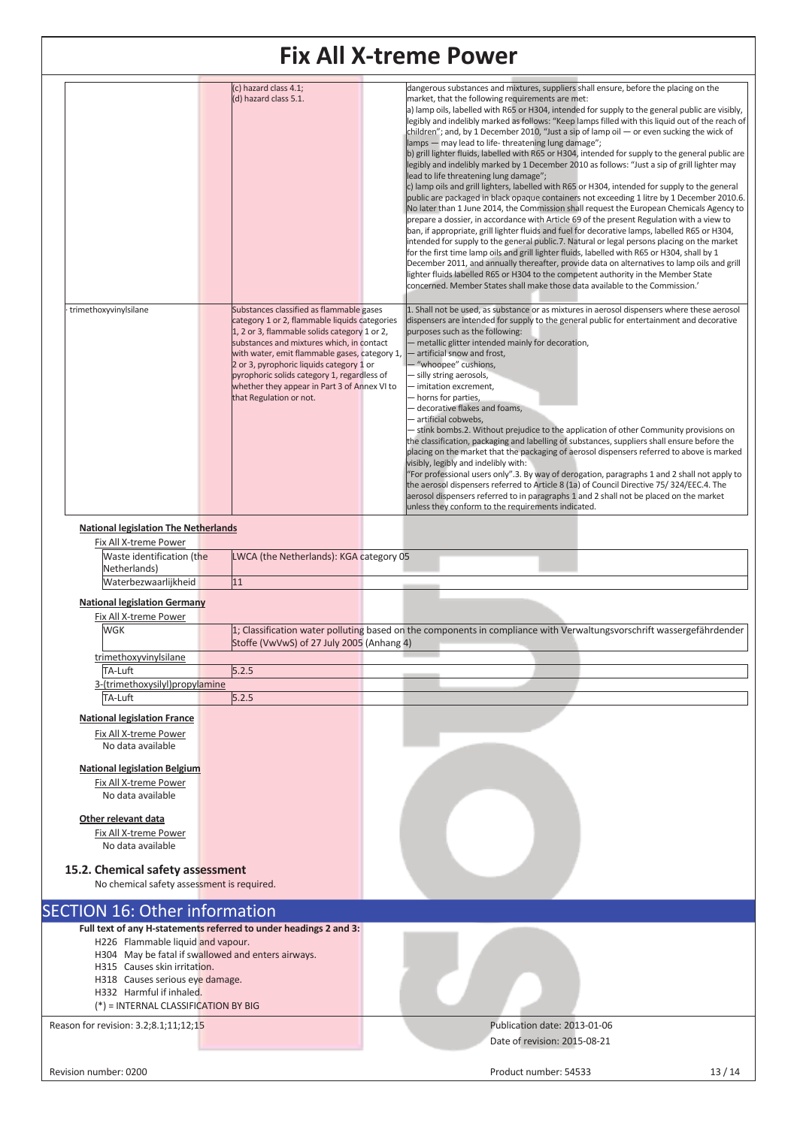| <u>FIX AII A-UCINE POWEI</u>                                       |                                                                                                                                                                                                                                                                                                                                                                                                               |                                                                                                                                                                                                                                                                                                                                                                                                                                                                                                                                                                                                                                                                                                                                                                                                                                                                                                                                                                                                                                                                                                                                                                                                                                                                                                                                                                                                                                                                                                                                                                                                                                                                                                                    |  |  |  |  |
|--------------------------------------------------------------------|---------------------------------------------------------------------------------------------------------------------------------------------------------------------------------------------------------------------------------------------------------------------------------------------------------------------------------------------------------------------------------------------------------------|--------------------------------------------------------------------------------------------------------------------------------------------------------------------------------------------------------------------------------------------------------------------------------------------------------------------------------------------------------------------------------------------------------------------------------------------------------------------------------------------------------------------------------------------------------------------------------------------------------------------------------------------------------------------------------------------------------------------------------------------------------------------------------------------------------------------------------------------------------------------------------------------------------------------------------------------------------------------------------------------------------------------------------------------------------------------------------------------------------------------------------------------------------------------------------------------------------------------------------------------------------------------------------------------------------------------------------------------------------------------------------------------------------------------------------------------------------------------------------------------------------------------------------------------------------------------------------------------------------------------------------------------------------------------------------------------------------------------|--|--|--|--|
|                                                                    | (c) hazard class 4.1;<br>(d) hazard class 5.1.                                                                                                                                                                                                                                                                                                                                                                | dangerous substances and mixtures, suppliers shall ensure, before the placing on the<br>market, that the following requirements are met:<br>a) lamp oils, labelled with R65 or H304, intended for supply to the general public are visibly,<br>legibly and indelibly marked as follows: "Keep lamps filled with this liquid out of the reach of<br>children"; and, by 1 December 2010, "Just a sip of lamp oil $-$ or even sucking the wick of<br>lamps - may lead to life-threatening lung damage";<br>b) grill lighter fluids, labelled with R65 or H304, intended for supply to the general public are<br>legibly and indelibly marked by 1 December 2010 as follows: "Just a sip of grill lighter may<br>lead to life threatening lung damage";<br>c) lamp oils and grill lighters, labelled with R65 or H304, intended for supply to the general<br>public are packaged in black opaque containers not exceeding 1 litre by 1 December 2010.6.<br>No later than 1 June 2014, the Commission shall request the European Chemicals Agency to<br>prepare a dossier, in accordance with Article 69 of the present Regulation with a view to<br>ban, if appropriate, grill lighter fluids and fuel for decorative lamps, labelled R65 or H304,<br>intended for supply to the general public.7. Natural or legal persons placing on the market<br>for the first time lamp oils and grill lighter fluids, labelled with R65 or H304, shall by 1<br>December 2011, and annually thereafter, provide data on alternatives to lamp oils and grill<br>lighter fluids labelled R65 or H304 to the competent authority in the Member State<br>concerned. Member States shall make those data available to the Commission.' |  |  |  |  |
| trimethoxyvinylsilane                                              | Substances classified as flammable gases<br>category 1 or 2, flammable liquids categories<br>1, 2 or 3, flammable solids category 1 or 2,<br>substances and mixtures which, in contact<br>with water, emit flammable gases, category 1,<br>2 or 3, pyrophoric liquids category 1 or<br>pyrophoric solids category 1, regardless of<br>whether they appear in Part 3 of Annex VI to<br>that Regulation or not. | 1. Shall not be used, as substance or as mixtures in aerosol dispensers where these aerosol<br>dispensers are intended for supply to the general public for entertainment and decorative<br>purposes such as the following:<br>- metallic glitter intended mainly for decoration,<br>- artificial snow and frost,<br>- "whoopee" cushions,<br>- silly string aerosols,<br>- imitation excrement,<br>- horns for parties,<br>- decorative flakes and foams,<br>- artificial cobwebs.<br>- stink bombs.2. Without prejudice to the application of other Community provisions on<br>the classification, packaging and labelling of substances, suppliers shall ensure before the<br>placing on the market that the packaging of aerosol dispensers referred to above is marked<br>visibly, legibly and indelibly with:<br>"For professional users only".3. By way of derogation, paragraphs 1 and 2 shall not apply to<br>the aerosol dispensers referred to Article 8 (1a) of Council Directive 75/324/EEC.4. The<br>aerosol dispensers referred to in paragraphs 1 and 2 shall not be placed on the market<br>unless they conform to the requirements indicated.                                                                                                                                                                                                                                                                                                                                                                                                                                                                                                                                                    |  |  |  |  |
| <b>National legislation The Netherlands</b>                        |                                                                                                                                                                                                                                                                                                                                                                                                               |                                                                                                                                                                                                                                                                                                                                                                                                                                                                                                                                                                                                                                                                                                                                                                                                                                                                                                                                                                                                                                                                                                                                                                                                                                                                                                                                                                                                                                                                                                                                                                                                                                                                                                                    |  |  |  |  |
| Fix All X-treme Power                                              |                                                                                                                                                                                                                                                                                                                                                                                                               |                                                                                                                                                                                                                                                                                                                                                                                                                                                                                                                                                                                                                                                                                                                                                                                                                                                                                                                                                                                                                                                                                                                                                                                                                                                                                                                                                                                                                                                                                                                                                                                                                                                                                                                    |  |  |  |  |
| Waste identification (the                                          | LWCA (the Netherlands): KGA category 05                                                                                                                                                                                                                                                                                                                                                                       |                                                                                                                                                                                                                                                                                                                                                                                                                                                                                                                                                                                                                                                                                                                                                                                                                                                                                                                                                                                                                                                                                                                                                                                                                                                                                                                                                                                                                                                                                                                                                                                                                                                                                                                    |  |  |  |  |
| Netherlands)<br>Waterbezwaarlijkheid                               | 11                                                                                                                                                                                                                                                                                                                                                                                                            |                                                                                                                                                                                                                                                                                                                                                                                                                                                                                                                                                                                                                                                                                                                                                                                                                                                                                                                                                                                                                                                                                                                                                                                                                                                                                                                                                                                                                                                                                                                                                                                                                                                                                                                    |  |  |  |  |
|                                                                    |                                                                                                                                                                                                                                                                                                                                                                                                               |                                                                                                                                                                                                                                                                                                                                                                                                                                                                                                                                                                                                                                                                                                                                                                                                                                                                                                                                                                                                                                                                                                                                                                                                                                                                                                                                                                                                                                                                                                                                                                                                                                                                                                                    |  |  |  |  |
| <b>National legislation Germany</b>                                |                                                                                                                                                                                                                                                                                                                                                                                                               |                                                                                                                                                                                                                                                                                                                                                                                                                                                                                                                                                                                                                                                                                                                                                                                                                                                                                                                                                                                                                                                                                                                                                                                                                                                                                                                                                                                                                                                                                                                                                                                                                                                                                                                    |  |  |  |  |
| Fix All X-treme Power<br><b>WGK</b>                                |                                                                                                                                                                                                                                                                                                                                                                                                               | 1; Classification water polluting based on the components in compliance with Verwaltungsvorschrift wassergefährdender                                                                                                                                                                                                                                                                                                                                                                                                                                                                                                                                                                                                                                                                                                                                                                                                                                                                                                                                                                                                                                                                                                                                                                                                                                                                                                                                                                                                                                                                                                                                                                                              |  |  |  |  |
|                                                                    | Stoffe (VwVwS) of 27 July 2005 (Anhang 4)                                                                                                                                                                                                                                                                                                                                                                     |                                                                                                                                                                                                                                                                                                                                                                                                                                                                                                                                                                                                                                                                                                                                                                                                                                                                                                                                                                                                                                                                                                                                                                                                                                                                                                                                                                                                                                                                                                                                                                                                                                                                                                                    |  |  |  |  |
| trimethoxyvinylsilane                                              |                                                                                                                                                                                                                                                                                                                                                                                                               |                                                                                                                                                                                                                                                                                                                                                                                                                                                                                                                                                                                                                                                                                                                                                                                                                                                                                                                                                                                                                                                                                                                                                                                                                                                                                                                                                                                                                                                                                                                                                                                                                                                                                                                    |  |  |  |  |
| TA-Luft                                                            | 5.2.5                                                                                                                                                                                                                                                                                                                                                                                                         |                                                                                                                                                                                                                                                                                                                                                                                                                                                                                                                                                                                                                                                                                                                                                                                                                                                                                                                                                                                                                                                                                                                                                                                                                                                                                                                                                                                                                                                                                                                                                                                                                                                                                                                    |  |  |  |  |
| 3-(trimethoxysilyl)propylamine                                     |                                                                                                                                                                                                                                                                                                                                                                                                               |                                                                                                                                                                                                                                                                                                                                                                                                                                                                                                                                                                                                                                                                                                                                                                                                                                                                                                                                                                                                                                                                                                                                                                                                                                                                                                                                                                                                                                                                                                                                                                                                                                                                                                                    |  |  |  |  |
| TA-Luft                                                            | 5.2.5                                                                                                                                                                                                                                                                                                                                                                                                         |                                                                                                                                                                                                                                                                                                                                                                                                                                                                                                                                                                                                                                                                                                                                                                                                                                                                                                                                                                                                                                                                                                                                                                                                                                                                                                                                                                                                                                                                                                                                                                                                                                                                                                                    |  |  |  |  |
| <b>National legislation France</b>                                 |                                                                                                                                                                                                                                                                                                                                                                                                               |                                                                                                                                                                                                                                                                                                                                                                                                                                                                                                                                                                                                                                                                                                                                                                                                                                                                                                                                                                                                                                                                                                                                                                                                                                                                                                                                                                                                                                                                                                                                                                                                                                                                                                                    |  |  |  |  |
| Fix All X-treme Power                                              |                                                                                                                                                                                                                                                                                                                                                                                                               |                                                                                                                                                                                                                                                                                                                                                                                                                                                                                                                                                                                                                                                                                                                                                                                                                                                                                                                                                                                                                                                                                                                                                                                                                                                                                                                                                                                                                                                                                                                                                                                                                                                                                                                    |  |  |  |  |
| No data available                                                  |                                                                                                                                                                                                                                                                                                                                                                                                               |                                                                                                                                                                                                                                                                                                                                                                                                                                                                                                                                                                                                                                                                                                                                                                                                                                                                                                                                                                                                                                                                                                                                                                                                                                                                                                                                                                                                                                                                                                                                                                                                                                                                                                                    |  |  |  |  |
| <b>National legislation Belgium</b>                                |                                                                                                                                                                                                                                                                                                                                                                                                               |                                                                                                                                                                                                                                                                                                                                                                                                                                                                                                                                                                                                                                                                                                                                                                                                                                                                                                                                                                                                                                                                                                                                                                                                                                                                                                                                                                                                                                                                                                                                                                                                                                                                                                                    |  |  |  |  |
| Fix All X-treme Power                                              |                                                                                                                                                                                                                                                                                                                                                                                                               |                                                                                                                                                                                                                                                                                                                                                                                                                                                                                                                                                                                                                                                                                                                                                                                                                                                                                                                                                                                                                                                                                                                                                                                                                                                                                                                                                                                                                                                                                                                                                                                                                                                                                                                    |  |  |  |  |
| No data available                                                  |                                                                                                                                                                                                                                                                                                                                                                                                               |                                                                                                                                                                                                                                                                                                                                                                                                                                                                                                                                                                                                                                                                                                                                                                                                                                                                                                                                                                                                                                                                                                                                                                                                                                                                                                                                                                                                                                                                                                                                                                                                                                                                                                                    |  |  |  |  |
| Other relevant data                                                |                                                                                                                                                                                                                                                                                                                                                                                                               |                                                                                                                                                                                                                                                                                                                                                                                                                                                                                                                                                                                                                                                                                                                                                                                                                                                                                                                                                                                                                                                                                                                                                                                                                                                                                                                                                                                                                                                                                                                                                                                                                                                                                                                    |  |  |  |  |
| Fix All X-treme Power<br>No data available                         |                                                                                                                                                                                                                                                                                                                                                                                                               |                                                                                                                                                                                                                                                                                                                                                                                                                                                                                                                                                                                                                                                                                                                                                                                                                                                                                                                                                                                                                                                                                                                                                                                                                                                                                                                                                                                                                                                                                                                                                                                                                                                                                                                    |  |  |  |  |
|                                                                    | 15.2. Chemical safety assessment<br>No chemical safety assessment is required.                                                                                                                                                                                                                                                                                                                                |                                                                                                                                                                                                                                                                                                                                                                                                                                                                                                                                                                                                                                                                                                                                                                                                                                                                                                                                                                                                                                                                                                                                                                                                                                                                                                                                                                                                                                                                                                                                                                                                                                                                                                                    |  |  |  |  |
|                                                                    |                                                                                                                                                                                                                                                                                                                                                                                                               |                                                                                                                                                                                                                                                                                                                                                                                                                                                                                                                                                                                                                                                                                                                                                                                                                                                                                                                                                                                                                                                                                                                                                                                                                                                                                                                                                                                                                                                                                                                                                                                                                                                                                                                    |  |  |  |  |
| <b>SECTION 16: Other information</b>                               |                                                                                                                                                                                                                                                                                                                                                                                                               |                                                                                                                                                                                                                                                                                                                                                                                                                                                                                                                                                                                                                                                                                                                                                                                                                                                                                                                                                                                                                                                                                                                                                                                                                                                                                                                                                                                                                                                                                                                                                                                                                                                                                                                    |  |  |  |  |
| H226 Flammable liquid and vapour.                                  | Full text of any H-statements referred to under headings 2 and 3:                                                                                                                                                                                                                                                                                                                                             |                                                                                                                                                                                                                                                                                                                                                                                                                                                                                                                                                                                                                                                                                                                                                                                                                                                                                                                                                                                                                                                                                                                                                                                                                                                                                                                                                                                                                                                                                                                                                                                                                                                                                                                    |  |  |  |  |
|                                                                    | H304 May be fatal if swallowed and enters airways.                                                                                                                                                                                                                                                                                                                                                            |                                                                                                                                                                                                                                                                                                                                                                                                                                                                                                                                                                                                                                                                                                                                                                                                                                                                                                                                                                                                                                                                                                                                                                                                                                                                                                                                                                                                                                                                                                                                                                                                                                                                                                                    |  |  |  |  |
| H315 Causes skin irritation.                                       |                                                                                                                                                                                                                                                                                                                                                                                                               |                                                                                                                                                                                                                                                                                                                                                                                                                                                                                                                                                                                                                                                                                                                                                                                                                                                                                                                                                                                                                                                                                                                                                                                                                                                                                                                                                                                                                                                                                                                                                                                                                                                                                                                    |  |  |  |  |
| H318 Causes serious eye damage.                                    |                                                                                                                                                                                                                                                                                                                                                                                                               |                                                                                                                                                                                                                                                                                                                                                                                                                                                                                                                                                                                                                                                                                                                                                                                                                                                                                                                                                                                                                                                                                                                                                                                                                                                                                                                                                                                                                                                                                                                                                                                                                                                                                                                    |  |  |  |  |
| H332 Harmful if inhaled.<br>$(*)$ = INTERNAL CLASSIFICATION BY BIG |                                                                                                                                                                                                                                                                                                                                                                                                               |                                                                                                                                                                                                                                                                                                                                                                                                                                                                                                                                                                                                                                                                                                                                                                                                                                                                                                                                                                                                                                                                                                                                                                                                                                                                                                                                                                                                                                                                                                                                                                                                                                                                                                                    |  |  |  |  |
|                                                                    |                                                                                                                                                                                                                                                                                                                                                                                                               |                                                                                                                                                                                                                                                                                                                                                                                                                                                                                                                                                                                                                                                                                                                                                                                                                                                                                                                                                                                                                                                                                                                                                                                                                                                                                                                                                                                                                                                                                                                                                                                                                                                                                                                    |  |  |  |  |
| Reason for revision: 3.2;8.1;11;12;15                              |                                                                                                                                                                                                                                                                                                                                                                                                               | Publication date: 2013-01-06<br>Date of revision: 2015-08-21                                                                                                                                                                                                                                                                                                                                                                                                                                                                                                                                                                                                                                                                                                                                                                                                                                                                                                                                                                                                                                                                                                                                                                                                                                                                                                                                                                                                                                                                                                                                                                                                                                                       |  |  |  |  |
|                                                                    |                                                                                                                                                                                                                                                                                                                                                                                                               |                                                                                                                                                                                                                                                                                                                                                                                                                                                                                                                                                                                                                                                                                                                                                                                                                                                                                                                                                                                                                                                                                                                                                                                                                                                                                                                                                                                                                                                                                                                                                                                                                                                                                                                    |  |  |  |  |
| Revision number: 0200                                              |                                                                                                                                                                                                                                                                                                                                                                                                               | Product number: 54533<br>13/14                                                                                                                                                                                                                                                                                                                                                                                                                                                                                                                                                                                                                                                                                                                                                                                                                                                                                                                                                                                                                                                                                                                                                                                                                                                                                                                                                                                                                                                                                                                                                                                                                                                                                     |  |  |  |  |